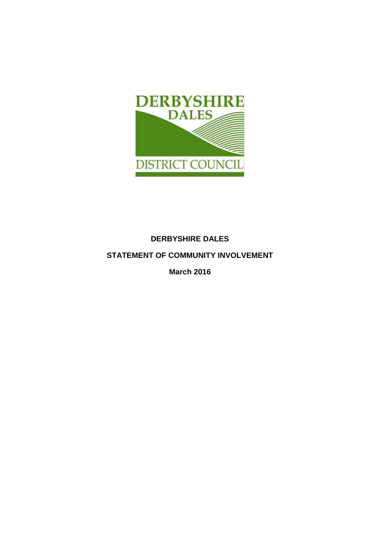

# **DERBYSHIRE DALES**

# **STATEMENT OF COMMUNITY INVOLVEMENT**

**March 2016**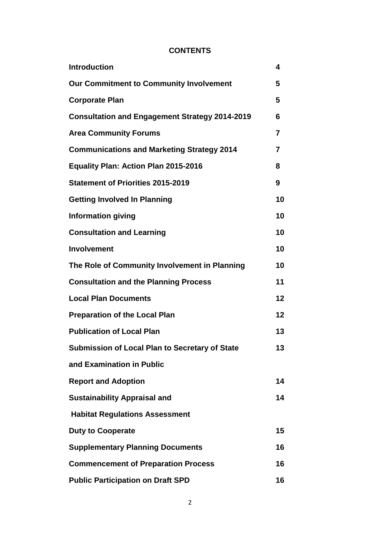# **CONTENTS**

| <b>Introduction</b>                                   | 4              |
|-------------------------------------------------------|----------------|
| <b>Our Commitment to Community Involvement</b>        | 5              |
| <b>Corporate Plan</b>                                 | 5              |
| <b>Consultation and Engagement Strategy 2014-2019</b> | 6              |
| <b>Area Community Forums</b>                          | $\overline{7}$ |
| <b>Communications and Marketing Strategy 2014</b>     | $\overline{7}$ |
| <b>Equality Plan: Action Plan 2015-2016</b>           | 8              |
| <b>Statement of Priorities 2015-2019</b>              | 9              |
| <b>Getting Involved In Planning</b>                   | 10             |
| <b>Information giving</b>                             | 10             |
| <b>Consultation and Learning</b>                      | 10             |
| <b>Involvement</b>                                    | 10             |
| The Role of Community Involvement in Planning         | 10             |
| <b>Consultation and the Planning Process</b>          | 11             |
| <b>Local Plan Documents</b>                           | 12             |
| <b>Preparation of the Local Plan</b>                  | 12             |
| <b>Publication of Local Plan</b>                      | 13             |
| Submission of Local Plan to Secretary of State        | 13             |
| and Examination in Public                             |                |
| <b>Report and Adoption</b>                            | 14             |
| <b>Sustainability Appraisal and</b>                   | 14             |
| <b>Habitat Regulations Assessment</b>                 |                |
| <b>Duty to Cooperate</b>                              | 15             |
| <b>Supplementary Planning Documents</b>               | 16             |
| <b>Commencement of Preparation Process</b>            | 16             |
| <b>Public Participation on Draft SPD</b>              | 16             |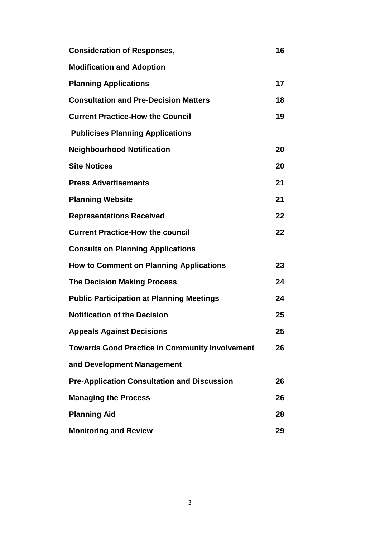| <b>Consideration of Responses,</b>                    | 16 |
|-------------------------------------------------------|----|
| <b>Modification and Adoption</b>                      |    |
| <b>Planning Applications</b>                          | 17 |
| <b>Consultation and Pre-Decision Matters</b>          | 18 |
| <b>Current Practice-How the Council</b>               | 19 |
| <b>Publicises Planning Applications</b>               |    |
| <b>Neighbourhood Notification</b>                     | 20 |
| <b>Site Notices</b>                                   | 20 |
| <b>Press Advertisements</b>                           | 21 |
| <b>Planning Website</b>                               | 21 |
| <b>Representations Received</b>                       | 22 |
| <b>Current Practice-How the council</b>               | 22 |
| <b>Consults on Planning Applications</b>              |    |
| <b>How to Comment on Planning Applications</b>        | 23 |
| <b>The Decision Making Process</b>                    | 24 |
| <b>Public Participation at Planning Meetings</b>      | 24 |
| <b>Notification of the Decision</b>                   | 25 |
| <b>Appeals Against Decisions</b>                      | 25 |
| <b>Towards Good Practice in Community Involvement</b> | 26 |
| and Development Management                            |    |
| <b>Pre-Application Consultation and Discussion</b>    | 26 |
| <b>Managing the Process</b>                           | 26 |
| <b>Planning Aid</b>                                   | 28 |
| <b>Monitoring and Review</b>                          | 29 |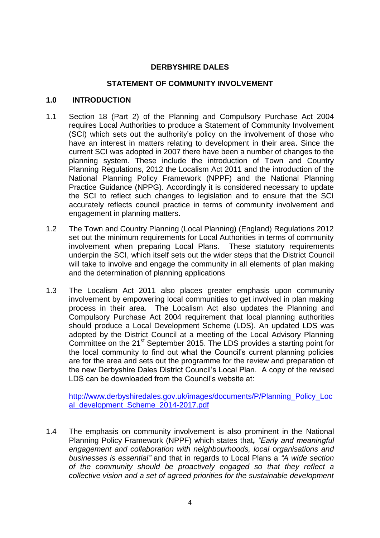## **DERBYSHIRE DALES**

## **STATEMENT OF COMMUNITY INVOLVEMENT**

## **1.0 INTRODUCTION**

- 1.1 Section 18 (Part 2) of the Planning and Compulsory Purchase Act 2004 requires Local Authorities to produce a Statement of Community Involvement (SCI) which sets out the authority's policy on the involvement of those who have an interest in matters relating to development in their area. Since the current SCI was adopted in 2007 there have been a number of changes to the planning system. These include the introduction of Town and Country Planning Regulations, 2012 the Localism Act 2011 and the introduction of the National Planning Policy Framework (NPPF) and the National Planning Practice Guidance (NPPG). Accordingly it is considered necessary to update the SCI to reflect such changes to legislation and to ensure that the SCI accurately reflects council practice in terms of community involvement and engagement in planning matters.
- 1.2 The Town and Country Planning (Local Planning) (England) Regulations 2012 set out the minimum requirements for Local Authorities in terms of community involvement when preparing Local Plans. These statutory requirements underpin the SCI, which itself sets out the wider steps that the District Council will take to involve and engage the community in all elements of plan making and the determination of planning applications
- 1.3 The Localism Act 2011 also places greater emphasis upon community involvement by empowering local communities to get involved in plan making process in their area. The Localism Act also updates the Planning and Compulsory Purchase Act 2004 requirement that local planning authorities should produce a Local Development Scheme (LDS). An updated LDS was adopted by the District Council at a meeting of the Local Advisory Planning Committee on the 21<sup>st</sup> September 2015. The LDS provides a starting point for the local community to find out what the Council's current planning policies are for the area and sets out the programme for the review and preparation of the new Derbyshire Dales District Council's Local Plan. A copy of the revised LDS can be downloaded from the Council's website at:

[http://www.derbyshiredales.gov.uk/images/documents/P/Planning\\_Policy\\_Loc](http://www.derbyshiredales.gov.uk/images/documents/P/Planning_Policy_Local_development_Scheme_2014-2017.pdf) [al\\_development\\_Scheme\\_2014-2017.pdf](http://www.derbyshiredales.gov.uk/images/documents/P/Planning_Policy_Local_development_Scheme_2014-2017.pdf)

1.4 The emphasis on community involvement is also prominent in the National Planning Policy Framework (NPPF) which states that*, "Early and meaningful engagement and collaboration with neighbourhoods, local organisations and businesses is essential"* and that in regards to Local Plans a *"A wide section of the community should be proactively engaged so that they reflect a collective vision and a set of agreed priorities for the sustainable development*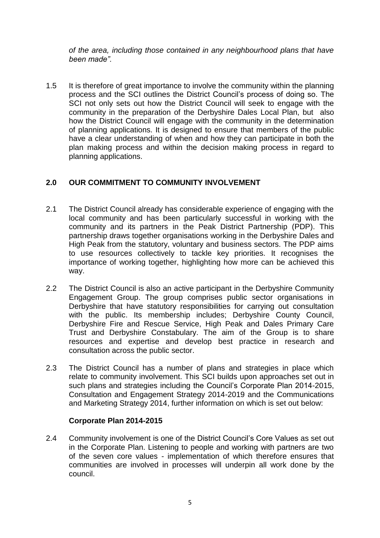*of the area, including those contained in any neighbourhood plans that have been made".*

1.5 It is therefore of great importance to involve the community within the planning process and the SCI outlines the District Council's process of doing so. The SCI not only sets out how the District Council will seek to engage with the community in the preparation of the Derbyshire Dales Local Plan, but also how the District Council will engage with the community in the determination of planning applications. It is designed to ensure that members of the public have a clear understanding of when and how they can participate in both the plan making process and within the decision making process in regard to planning applications.

## **2.0 OUR COMMITMENT TO COMMUNITY INVOLVEMENT**

- 2.1 The District Council already has considerable experience of engaging with the local community and has been particularly successful in working with the community and its partners in the Peak District Partnership (PDP). This partnership draws together organisations working in the Derbyshire Dales and High Peak from the statutory, voluntary and business sectors. The PDP aims to use resources collectively to tackle key priorities. It recognises the importance of working together, highlighting how more can be achieved this way.
- 2.2 The District Council is also an active participant in the Derbyshire Community Engagement Group. The group comprises public sector organisations in Derbyshire that have statutory responsibilities for carrying out consultation with the public. Its membership includes; Derbyshire County Council, Derbyshire Fire and Rescue Service, High Peak and Dales Primary Care Trust and Derbyshire Constabulary. The aim of the Group is to share resources and expertise and develop best practice in research and consultation across the public sector.
- 2.3 The District Council has a number of plans and strategies in place which relate to community involvement. This SCI builds upon approaches set out in such plans and strategies including the Council's Corporate Plan 2014-2015, Consultation and Engagement Strategy 2014-2019 and the Communications and Marketing Strategy 2014, further information on which is set out below:

## **Corporate Plan 2014-2015**

2.4 Community involvement is one of the District Council's Core Values as set out in the Corporate Plan. Listening to people and working with partners are two of the seven core values - implementation of which therefore ensures that communities are involved in processes will underpin all work done by the council.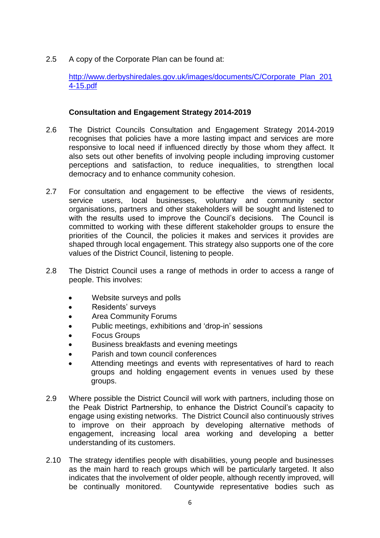2.5 A copy of the Corporate Plan can be found at:

[http://www.derbyshiredales.gov.uk/images/documents/C/Corporate\\_Plan\\_201](http://www.derbyshiredales.gov.uk/images/documents/C/Corporate_Plan_2014-15.pdf) [4-15.pdf](http://www.derbyshiredales.gov.uk/images/documents/C/Corporate_Plan_2014-15.pdf)

## **Consultation and Engagement Strategy 2014-2019**

- 2.6 The District Councils Consultation and Engagement Strategy 2014-2019 recognises that policies have a more lasting impact and services are more responsive to local need if influenced directly by those whom they affect. It also sets out other benefits of involving people including improving customer perceptions and satisfaction, to reduce inequalities, to strengthen local democracy and to enhance community cohesion.
- 2.7 For consultation and engagement to be effective the views of residents, service users, local businesses, voluntary and community sector organisations, partners and other stakeholders will be sought and listened to with the results used to improve the Council's decisions. The Council is committed to working with these different stakeholder groups to ensure the priorities of the Council, the policies it makes and services it provides are shaped through local engagement. This strategy also supports one of the core values of the District Council, listening to people.
- 2.8 The District Council uses a range of methods in order to access a range of people. This involves:
	- Website surveys and polls
	- Residents' surveys
	- Area Community Forums
	- Public meetings, exhibitions and 'drop-in' sessions
	- Focus Groups
	- Business breakfasts and evening meetings
	- Parish and town council conferences
	- Attending meetings and events with representatives of hard to reach groups and holding engagement events in venues used by these groups.
- 2.9 Where possible the District Council will work with partners, including those on the Peak District Partnership, to enhance the District Council's capacity to engage using existing networks. The District Council also continuously strives to improve on their approach by developing alternative methods of engagement, increasing local area working and developing a better understanding of its customers.
- 2.10 The strategy identifies people with disabilities, young people and businesses as the main hard to reach groups which will be particularly targeted. It also indicates that the involvement of older people, although recently improved, will be continually monitored. Countywide representative bodies such as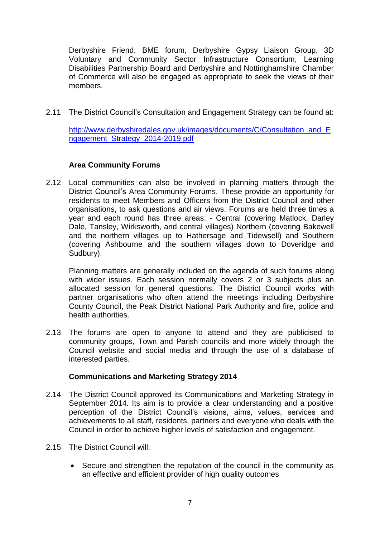Derbyshire Friend, BME forum, Derbyshire Gypsy Liaison Group, 3D Voluntary and Community Sector Infrastructure Consortium, Learning Disabilities Partnership Board and Derbyshire and Nottinghamshire Chamber of Commerce will also be engaged as appropriate to seek the views of their members.

2.11 The District Council's Consultation and Engagement Strategy can be found at:

[http://www.derbyshiredales.gov.uk/images/documents/C/Consultation\\_and\\_E](http://www.derbyshiredales.gov.uk/images/documents/C/Consultation_and_Engagement_Strategy_2014-2019.pdf) [ngagement\\_Strategy\\_2014-2019.pdf](http://www.derbyshiredales.gov.uk/images/documents/C/Consultation_and_Engagement_Strategy_2014-2019.pdf)

## **Area Community Forums**

2.12 Local communities can also be involved in planning matters through the District Council's Area Community Forums. These provide an opportunity for residents to meet Members and Officers from the District Council and other organisations, to ask questions and air views. Forums are held three times a year and each round has three areas: - Central (covering Matlock, Darley Dale, Tansley, Wirksworth, and central villages) Northern (covering Bakewell and the northern villages up to Hathersage and Tidewsell) and Southern (covering Ashbourne and the southern villages down to Doveridge and Sudbury).

Planning matters are generally included on the agenda of such forums along with wider issues. Each session normally covers 2 or 3 subjects plus an allocated session for general questions. The District Council works with partner organisations who often attend the meetings including Derbyshire County Council, the Peak District National Park Authority and fire, police and health authorities.

2.13 The forums are open to anyone to attend and they are publicised to community groups, Town and Parish councils and more widely through the Council website and social media and through the use of a database of interested parties.

## **Communications and Marketing Strategy 2014**

- 2.14 The District Council approved its Communications and Marketing Strategy in September 2014. Its aim is to provide a clear understanding and a positive perception of the District Council's visions, aims, values, services and achievements to all staff, residents, partners and everyone who deals with the Council in order to achieve higher levels of satisfaction and engagement.
- 2.15 The District Council will:
	- Secure and strengthen the reputation of the council in the community as an effective and efficient provider of high quality outcomes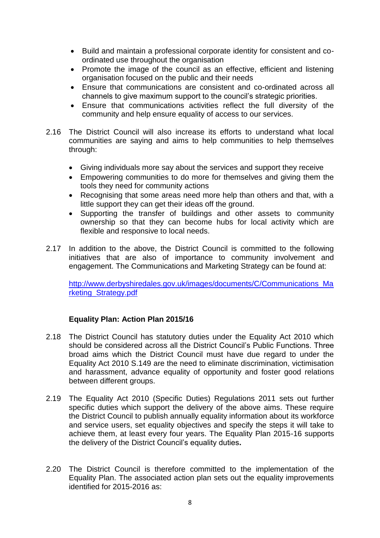- Build and maintain a professional corporate identity for consistent and coordinated use throughout the organisation
- Promote the image of the council as an effective, efficient and listening organisation focused on the public and their needs
- Ensure that communications are consistent and co-ordinated across all channels to give maximum support to the council's strategic priorities.
- Ensure that communications activities reflect the full diversity of the community and help ensure equality of access to our services.
- 2.16 The District Council will also increase its efforts to understand what local communities are saying and aims to help communities to help themselves through:
	- Giving individuals more say about the services and support they receive
	- Empowering communities to do more for themselves and giving them the tools they need for community actions
	- Recognising that some areas need more help than others and that, with a little support they can get their ideas off the ground.
	- Supporting the transfer of buildings and other assets to community ownership so that they can become hubs for local activity which are flexible and responsive to local needs.
- 2.17 In addition to the above, the District Council is committed to the following initiatives that are also of importance to community involvement and engagement. The Communications and Marketing Strategy can be found at:

[http://www.derbyshiredales.gov.uk/images/documents/C/Communications\\_Ma](http://www.derbyshiredales.gov.uk/images/documents/C/Communications_Marketing_Strategy.pdf) [rketing\\_Strategy.pdf](http://www.derbyshiredales.gov.uk/images/documents/C/Communications_Marketing_Strategy.pdf)

# **Equality Plan: Action Plan 2015/16**

- 2.18 The District Council has statutory duties under the Equality Act 2010 which should be considered across all the District Council's Public Functions. Three broad aims which the District Council must have due regard to under the Equality Act 2010 S.149 are the need to eliminate discrimination, victimisation and harassment, advance equality of opportunity and foster good relations between different groups.
- 2.19 The Equality Act 2010 (Specific Duties) Regulations 2011 sets out further specific duties which support the delivery of the above aims. These require the District Council to publish annually equality information about its workforce and service users, set equality objectives and specify the steps it will take to achieve them, at least every four years. The Equality Plan 2015-16 supports the delivery of the District Council's equality duties**.**
- 2.20 The District Council is therefore committed to the implementation of the Equality Plan. The associated action plan sets out the equality improvements identified for 2015-2016 as: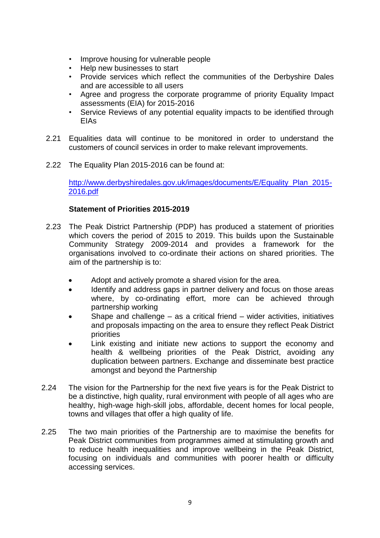- Improve housing for vulnerable people
- Help new businesses to start
- Provide services which reflect the communities of the Derbyshire Dales and are accessible to all users
- Agree and progress the corporate programme of priority Equality Impact assessments (EIA) for 2015-2016
- Service Reviews of any potential equality impacts to be identified through EIAs
- 2.21 Equalities data will continue to be monitored in order to understand the customers of council services in order to make relevant improvements.
- 2.22 The Equality Plan 2015-2016 can be found at:

[http://www.derbyshiredales.gov.uk/images/documents/E/Equality\\_Plan\\_2015-](http://www.derbyshiredales.gov.uk/images/documents/E/Equality_Plan_2015-2016.pdf) [2016.pdf](http://www.derbyshiredales.gov.uk/images/documents/E/Equality_Plan_2015-2016.pdf)

# **Statement of Priorities 2015-2019**

- 2.23 The Peak District Partnership (PDP) has produced a statement of priorities which covers the period of 2015 to 2019. This builds upon the Sustainable Community Strategy 2009-2014 and provides a framework for the organisations involved to co-ordinate their actions on shared priorities. The aim of the partnership is to:
	- Adopt and actively promote a shared vision for the area.
	- Identify and address gaps in partner delivery and focus on those areas where, by co-ordinating effort, more can be achieved through partnership working
	- Shape and challenge as a critical friend wider activities, initiatives and proposals impacting on the area to ensure they reflect Peak District priorities
	- Link existing and initiate new actions to support the economy and health & wellbeing priorities of the Peak District, avoiding any duplication between partners. Exchange and disseminate best practice amongst and beyond the Partnership
- 2.24 The vision for the Partnership for the next five years is for the Peak District to be a distinctive, high quality, rural environment with people of all ages who are healthy, high-wage high-skill jobs, affordable, decent homes for local people, towns and villages that offer a high quality of life.
- 2.25 The two main priorities of the Partnership are to maximise the benefits for Peak District communities from programmes aimed at stimulating growth and to reduce health inequalities and improve wellbeing in the Peak District, focusing on individuals and communities with poorer health or difficulty accessing services.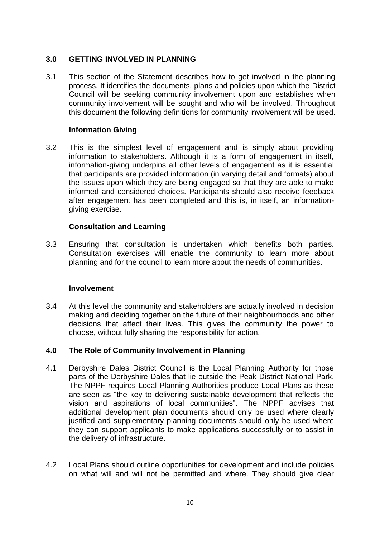## **3.0 GETTING INVOLVED IN PLANNING**

3.1 This section of the Statement describes how to get involved in the planning process. It identifies the documents, plans and policies upon which the District Council will be seeking community involvement upon and establishes when community involvement will be sought and who will be involved. Throughout this document the following definitions for community involvement will be used.

## **Information Giving**

3.2 This is the simplest level of engagement and is simply about providing information to stakeholders. Although it is a form of engagement in itself, information-giving underpins all other levels of engagement as it is essential that participants are provided information (in varying detail and formats) about the issues upon which they are being engaged so that they are able to make informed and considered choices. Participants should also receive feedback after engagement has been completed and this is, in itself, an informationgiving exercise.

## **Consultation and Learning**

3.3 Ensuring that consultation is undertaken which benefits both parties. Consultation exercises will enable the community to learn more about planning and for the council to learn more about the needs of communities.

## **Involvement**

3.4 At this level the community and stakeholders are actually involved in decision making and deciding together on the future of their neighbourhoods and other decisions that affect their lives. This gives the community the power to choose, without fully sharing the responsibility for action.

# **4.0 The Role of Community Involvement in Planning**

- 4.1 Derbyshire Dales District Council is the Local Planning Authority for those parts of the Derbyshire Dales that lie outside the Peak District National Park. The NPPF requires Local Planning Authorities produce Local Plans as these are seen as "the key to delivering sustainable development that reflects the vision and aspirations of local communities". The NPPF advises that additional development plan documents should only be used where clearly justified and supplementary planning documents should only be used where they can support applicants to make applications successfully or to assist in the delivery of infrastructure.
- 4.2 Local Plans should outline opportunities for development and include policies on what will and will not be permitted and where. They should give clear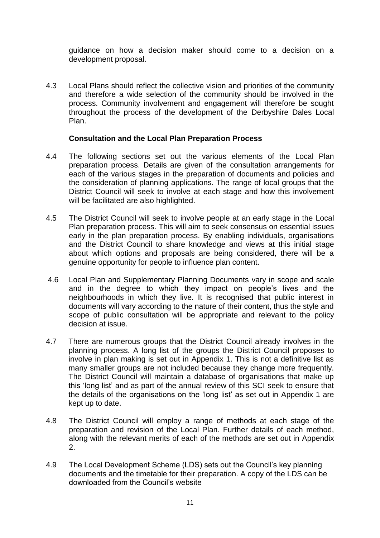guidance on how a decision maker should come to a decision on a development proposal.

4.3 Local Plans should reflect the collective vision and priorities of the community and therefore a wide selection of the community should be involved in the process. Community involvement and engagement will therefore be sought throughout the process of the development of the Derbyshire Dales Local Plan.

## **Consultation and the Local Plan Preparation Process**

- 4.4 The following sections set out the various elements of the Local Plan preparation process. Details are given of the consultation arrangements for each of the various stages in the preparation of documents and policies and the consideration of planning applications. The range of local groups that the District Council will seek to involve at each stage and how this involvement will be facilitated are also highlighted.
- 4.5 The District Council will seek to involve people at an early stage in the Local Plan preparation process. This will aim to seek consensus on essential issues early in the plan preparation process. By enabling individuals, organisations and the District Council to share knowledge and views at this initial stage about which options and proposals are being considered, there will be a genuine opportunity for people to influence plan content.
- 4.6 Local Plan and Supplementary Planning Documents vary in scope and scale and in the degree to which they impact on people's lives and the neighbourhoods in which they live. It is recognised that public interest in documents will vary according to the nature of their content, thus the style and scope of public consultation will be appropriate and relevant to the policy decision at issue.
- 4.7 There are numerous groups that the District Council already involves in the planning process. A long list of the groups the District Council proposes to involve in plan making is set out in Appendix 1. This is not a definitive list as many smaller groups are not included because they change more frequently. The District Council will maintain a database of organisations that make up this 'long list' and as part of the annual review of this SCI seek to ensure that the details of the organisations on the 'long list' as set out in Appendix 1 are kept up to date.
- 4.8 The District Council will employ a range of methods at each stage of the preparation and revision of the Local Plan. Further details of each method, along with the relevant merits of each of the methods are set out in Appendix 2.
- 4.9 The Local Development Scheme (LDS) sets out the Council's key planning documents and the timetable for their preparation. A copy of the LDS can be downloaded from the Council's website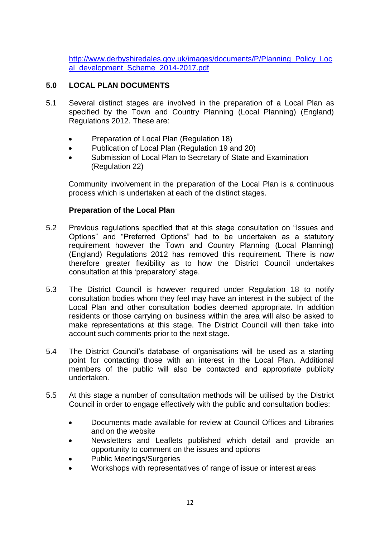[http://www.derbyshiredales.gov.uk/images/documents/P/Planning\\_Policy\\_Loc](http://www.derbyshiredales.gov.uk/images/documents/P/Planning_Policy_Local_development_Scheme_2014-2017.pdf) [al\\_development\\_Scheme\\_2014-2017.pdf](http://www.derbyshiredales.gov.uk/images/documents/P/Planning_Policy_Local_development_Scheme_2014-2017.pdf)

# **5.0 LOCAL PLAN DOCUMENTS**

- 5.1 Several distinct stages are involved in the preparation of a Local Plan as specified by the Town and Country Planning (Local Planning) (England) Regulations 2012. These are:
	- Preparation of Local Plan (Regulation 18)
	- Publication of Local Plan (Regulation 19 and 20)
	- Submission of Local Plan to Secretary of State and Examination (Regulation 22)

Community involvement in the preparation of the Local Plan is a continuous process which is undertaken at each of the distinct stages.

## **Preparation of the Local Plan**

- 5.2 Previous regulations specified that at this stage consultation on "Issues and Options" and "Preferred Options" had to be undertaken as a statutory requirement however the Town and Country Planning (Local Planning) (England) Regulations 2012 has removed this requirement. There is now therefore greater flexibility as to how the District Council undertakes consultation at this 'preparatory' stage.
- 5.3 The District Council is however required under Regulation 18 to notify consultation bodies whom they feel may have an interest in the subject of the Local Plan and other consultation bodies deemed appropriate. In addition residents or those carrying on business within the area will also be asked to make representations at this stage. The District Council will then take into account such comments prior to the next stage.
- 5.4 The District Council's database of organisations will be used as a starting point for contacting those with an interest in the Local Plan. Additional members of the public will also be contacted and appropriate publicity undertaken.
- 5.5 At this stage a number of consultation methods will be utilised by the District Council in order to engage effectively with the public and consultation bodies:
	- Documents made available for review at Council Offices and Libraries and on the website
	- Newsletters and Leaflets published which detail and provide an opportunity to comment on the issues and options
	- Public Meetings/Surgeries
	- Workshops with representatives of range of issue or interest areas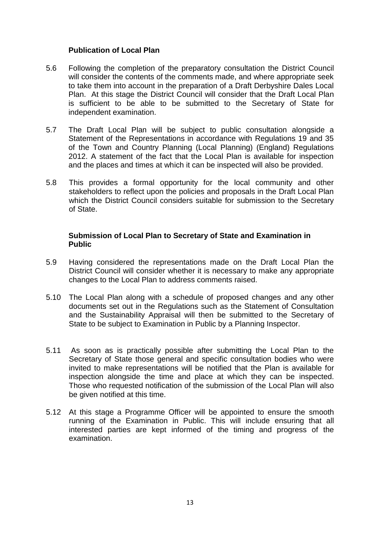## **Publication of Local Plan**

- 5.6 Following the completion of the preparatory consultation the District Council will consider the contents of the comments made, and where appropriate seek to take them into account in the preparation of a Draft Derbyshire Dales Local Plan. At this stage the District Council will consider that the Draft Local Plan is sufficient to be able to be submitted to the Secretary of State for independent examination.
- 5.7 The Draft Local Plan will be subject to public consultation alongside a Statement of the Representations in accordance with Regulations 19 and 35 of the Town and Country Planning (Local Planning) (England) Regulations 2012. A statement of the fact that the Local Plan is available for inspection and the places and times at which it can be inspected will also be provided.
- 5.8 This provides a formal opportunity for the local community and other stakeholders to reflect upon the policies and proposals in the Draft Local Plan which the District Council considers suitable for submission to the Secretary of State.

## **Submission of Local Plan to Secretary of State and Examination in Public**

- 5.9 Having considered the representations made on the Draft Local Plan the District Council will consider whether it is necessary to make any appropriate changes to the Local Plan to address comments raised.
- 5.10 The Local Plan along with a schedule of proposed changes and any other documents set out in the Regulations such as the Statement of Consultation and the Sustainability Appraisal will then be submitted to the Secretary of State to be subject to Examination in Public by a Planning Inspector.
- 5.11 As soon as is practically possible after submitting the Local Plan to the Secretary of State those general and specific consultation bodies who were invited to make representations will be notified that the Plan is available for inspection alongside the time and place at which they can be inspected. Those who requested notification of the submission of the Local Plan will also be given notified at this time.
- 5.12 At this stage a Programme Officer will be appointed to ensure the smooth running of the Examination in Public. This will include ensuring that all interested parties are kept informed of the timing and progress of the examination.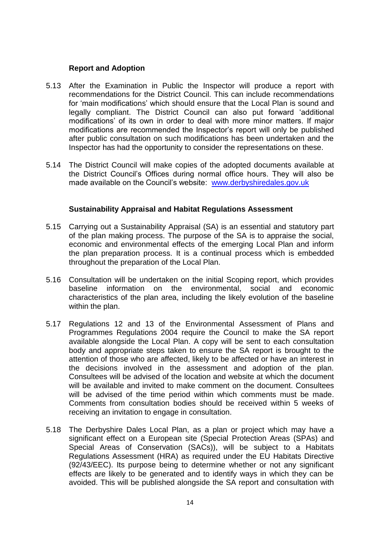## **Report and Adoption**

- 5.13 After the Examination in Public the Inspector will produce a report with recommendations for the District Council. This can include recommendations for 'main modifications' which should ensure that the Local Plan is sound and legally compliant. The District Council can also put forward 'additional modifications' of its own in order to deal with more minor matters. If major modifications are recommended the Inspector's report will only be published after public consultation on such modifications has been undertaken and the Inspector has had the opportunity to consider the representations on these.
- 5.14 The District Council will make copies of the adopted documents available at the District Council's Offices during normal office hours. They will also be made available on the Council's website: [www.derbyshiredales.gov.uk](http://www.derbyshiredales.gov.uk/)

## **Sustainability Appraisal and Habitat Regulations Assessment**

- 5.15 Carrying out a Sustainability Appraisal (SA) is an essential and statutory part of the plan making process. The purpose of the SA is to appraise the social, economic and environmental effects of the emerging Local Plan and inform the plan preparation process. It is a continual process which is embedded throughout the preparation of the Local Plan.
- 5.16 Consultation will be undertaken on the initial Scoping report, which provides baseline information on the environmental, social and economic characteristics of the plan area, including the likely evolution of the baseline within the plan.
- 5.17 Regulations 12 and 13 of the Environmental Assessment of Plans and Programmes Regulations 2004 require the Council to make the SA report available alongside the Local Plan. A copy will be sent to each consultation body and appropriate steps taken to ensure the SA report is brought to the attention of those who are affected, likely to be affected or have an interest in the decisions involved in the assessment and adoption of the plan. Consultees will be advised of the location and website at which the document will be available and invited to make comment on the document. Consultees will be advised of the time period within which comments must be made. Comments from consultation bodies should be received within 5 weeks of receiving an invitation to engage in consultation.
- 5.18 The Derbyshire Dales Local Plan, as a plan or project which may have a significant effect on a European site (Special Protection Areas (SPAs) and Special Areas of Conservation (SACs)), will be subject to a Habitats Regulations Assessment (HRA) as required under the EU Habitats Directive (92/43/EEC). Its purpose being to determine whether or not any significant effects are likely to be generated and to identify ways in which they can be avoided. This will be published alongside the SA report and consultation with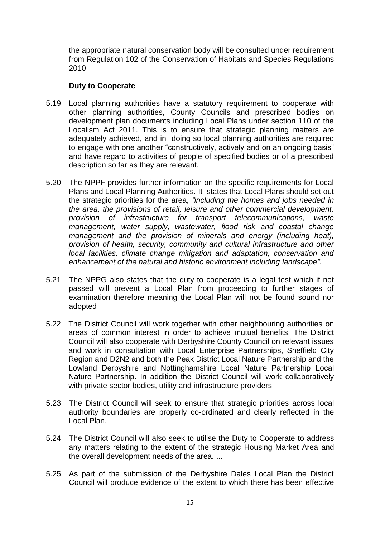the appropriate natural conservation body will be consulted under requirement from Regulation 102 of the Conservation of Habitats and Species Regulations 2010

## **Duty to Cooperate**

- 5.19 Local planning authorities have a statutory requirement to cooperate with other planning authorities, County Councils and prescribed bodies on development plan documents including Local Plans under section 110 of the Localism Act 2011. This is to ensure that strategic planning matters are adequately achieved, and in doing so local planning authorities are required to engage with one another "constructively, actively and on an ongoing basis" and have regard to activities of people of specified bodies or of a prescribed description so far as they are relevant.
- 5.20 The NPPF provides further information on the specific requirements for Local Plans and Local Planning Authorities. It states that Local Plans should set out the strategic priorities for the area, *"including the homes and jobs needed in the area, the provisions of retail, leisure and other commercial development, provision of infrastructure for transport telecommunications, waste management, water supply, wastewater, flood risk and coastal change*  management and the provision of minerals and energy (including heat), *provision of health, security, community and cultural infrastructure and other local facilities, climate change mitigation and adaptation, conservation and enhancement of the natural and historic environment including landscape".*
- 5.21 The NPPG also states that the duty to cooperate is a legal test which if not passed will prevent a Local Plan from proceeding to further stages of examination therefore meaning the Local Plan will not be found sound nor adopted
- 5.22 The District Council will work together with other neighbouring authorities on areas of common interest in order to achieve mutual benefits. The District Council will also cooperate with Derbyshire County Council on relevant issues and work in consultation with Local Enterprise Partnerships, Sheffield City Region and D2N2 and both the Peak District Local Nature Partnership and the Lowland Derbyshire and Nottinghamshire Local Nature Partnership Local Nature Partnership. In addition the District Council will work collaboratively with private sector bodies, utility and infrastructure providers
- 5.23 The District Council will seek to ensure that strategic priorities across local authority boundaries are properly co-ordinated and clearly reflected in the Local Plan.
- 5.24 The District Council will also seek to utilise the Duty to Cooperate to address any matters relating to the extent of the strategic Housing Market Area and the overall development needs of the area. ...
- 5.25 As part of the submission of the Derbyshire Dales Local Plan the District Council will produce evidence of the extent to which there has been effective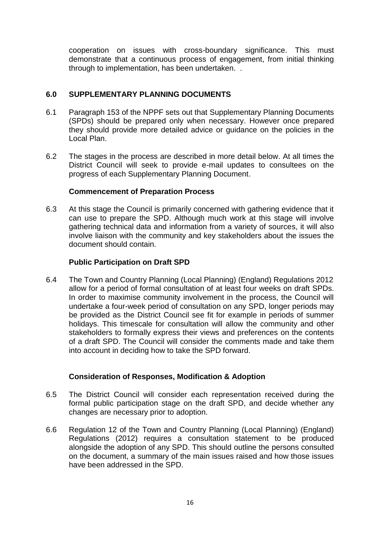cooperation on issues with cross-boundary significance. This must demonstrate that a continuous process of engagement, from initial thinking through to implementation, has been undertaken. .

## **6.0 SUPPLEMENTARY PLANNING DOCUMENTS**

- 6.1 Paragraph 153 of the NPPF sets out that Supplementary Planning Documents (SPDs) should be prepared only when necessary. However once prepared they should provide more detailed advice or guidance on the policies in the Local Plan.
- 6.2 The stages in the process are described in more detail below. At all times the District Council will seek to provide e-mail updates to consultees on the progress of each Supplementary Planning Document.

## **Commencement of Preparation Process**

6.3 At this stage the Council is primarily concerned with gathering evidence that it can use to prepare the SPD. Although much work at this stage will involve gathering technical data and information from a variety of sources, it will also involve liaison with the community and key stakeholders about the issues the document should contain.

# **Public Participation on Draft SPD**

6.4 The Town and Country Planning (Local Planning) (England) Regulations 2012 allow for a period of formal consultation of at least four weeks on draft SPDs. In order to maximise community involvement in the process, the Council will undertake a four-week period of consultation on any SPD, longer periods may be provided as the District Council see fit for example in periods of summer holidays. This timescale for consultation will allow the community and other stakeholders to formally express their views and preferences on the contents of a draft SPD. The Council will consider the comments made and take them into account in deciding how to take the SPD forward.

## **Consideration of Responses, Modification & Adoption**

- 6.5 The District Council will consider each representation received during the formal public participation stage on the draft SPD, and decide whether any changes are necessary prior to adoption.
- 6.6 Regulation 12 of the Town and Country Planning (Local Planning) (England) Regulations (2012) requires a consultation statement to be produced alongside the adoption of any SPD. This should outline the persons consulted on the document, a summary of the main issues raised and how those issues have been addressed in the SPD.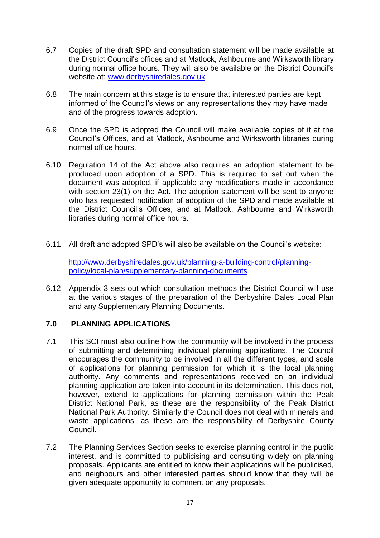- 6.7 Copies of the draft SPD and consultation statement will be made available at the District Council's offices and at Matlock, Ashbourne and Wirksworth library during normal office hours. They will also be available on the District Council's website at: [www.derbyshiredales.gov.uk](http://www.derbyshiredales.gov.uk/)
- 6.8 The main concern at this stage is to ensure that interested parties are kept informed of the Council's views on any representations they may have made and of the progress towards adoption.
- 6.9 Once the SPD is adopted the Council will make available copies of it at the Council's Offices, and at Matlock, Ashbourne and Wirksworth libraries during normal office hours.
- 6.10 Regulation 14 of the Act above also requires an adoption statement to be produced upon adoption of a SPD. This is required to set out when the document was adopted, if applicable any modifications made in accordance with section 23(1) on the Act. The adoption statement will be sent to anyone who has requested notification of adoption of the SPD and made available at the District Council's Offices, and at Matlock, Ashbourne and Wirksworth libraries during normal office hours.
- 6.11 All draft and adopted SPD's will also be available on the Council's website:

[http://www.derbyshiredales.gov.uk/planning-a-building-control/planning](http://www.derbyshiredales.gov.uk/planning-a-building-control/planning-policy/local-plan/supplementary-planning-documents)[policy/local-plan/supplementary-planning-documents](http://www.derbyshiredales.gov.uk/planning-a-building-control/planning-policy/local-plan/supplementary-planning-documents)

6.12 Appendix 3 sets out which consultation methods the District Council will use at the various stages of the preparation of the Derbyshire Dales Local Plan and any Supplementary Planning Documents.

## **7.0 PLANNING APPLICATIONS**

- 7.1 This SCI must also outline how the community will be involved in the process of submitting and determining individual planning applications. The Council encourages the community to be involved in all the different types, and scale of applications for planning permission for which it is the local planning authority. Any comments and representations received on an individual planning application are taken into account in its determination. This does not, however, extend to applications for planning permission within the Peak District National Park, as these are the responsibility of the Peak District National Park Authority. Similarly the Council does not deal with minerals and waste applications, as these are the responsibility of Derbyshire County Council.
- 7.2 The Planning Services Section seeks to exercise planning control in the public interest, and is committed to publicising and consulting widely on planning proposals. Applicants are entitled to know their applications will be publicised, and neighbours and other interested parties should know that they will be given adequate opportunity to comment on any proposals.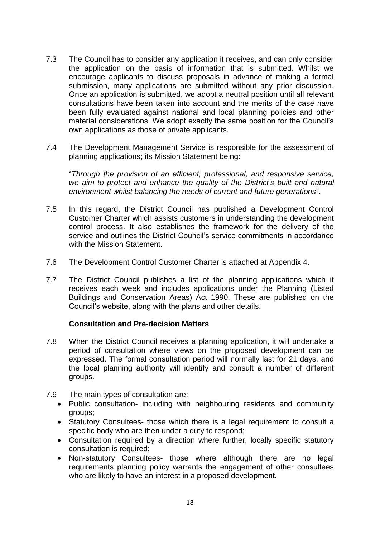- 7.3 The Council has to consider any application it receives, and can only consider the application on the basis of information that is submitted. Whilst we encourage applicants to discuss proposals in advance of making a formal submission, many applications are submitted without any prior discussion. Once an application is submitted, we adopt a neutral position until all relevant consultations have been taken into account and the merits of the case have been fully evaluated against national and local planning policies and other material considerations. We adopt exactly the same position for the Council's own applications as those of private applicants.
- 7.4 The Development Management Service is responsible for the assessment of planning applications; its Mission Statement being:

"*Through the provision of an efficient, professional, and responsive service, we aim to protect and enhance the quality of the District's built and natural environment whilst balancing the needs of current and future generations*".

- 7.5 In this regard, the District Council has published a Development Control Customer Charter which assists customers in understanding the development control process. It also establishes the framework for the delivery of the service and outlines the District Council's service commitments in accordance with the Mission Statement.
- 7.6 The Development Control Customer Charter is attached at Appendix 4.
- 7.7 The District Council publishes a list of the planning applications which it receives each week and includes applications under the Planning (Listed Buildings and Conservation Areas) Act 1990. These are published on the Council's website, along with the plans and other details.

## **Consultation and Pre-decision Matters**

- 7.8 When the District Council receives a planning application, it will undertake a period of consultation where views on the proposed development can be expressed. The formal consultation period will normally last for 21 days, and the local planning authority will identify and consult a number of different groups.
- 7.9 The main types of consultation are:
	- Public consultation- including with neighbouring residents and community groups;
	- Statutory Consultees- those which there is a legal requirement to consult a specific body who are then under a duty to respond;
	- Consultation required by a direction where further, locally specific statutory consultation is required;
	- Non-statutory Consultees- those where although there are no legal requirements planning policy warrants the engagement of other consultees who are likely to have an interest in a proposed development.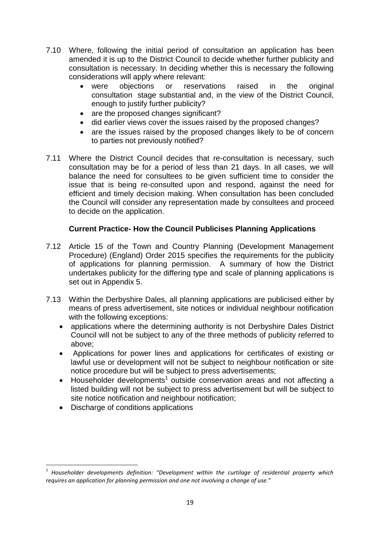- 7.10 Where, following the initial period of consultation an application has been amended it is up to the District Council to decide whether further publicity and consultation is necessary. In deciding whether this is necessary the following considerations will apply where relevant:
	- were objections or reservations raised in the original consultation stage substantial and, in the view of the District Council, enough to justify further publicity?
	- are the proposed changes significant?
	- did earlier views cover the issues raised by the proposed changes?
	- are the issues raised by the proposed changes likely to be of concern to parties not previously notified?
- 7.11 Where the District Council decides that re-consultation is necessary, such consultation may be for a period of less than 21 days. In all cases, we will balance the need for consultees to be given sufficient time to consider the issue that is being re-consulted upon and respond, against the need for efficient and timely decision making. When consultation has been concluded the Council will consider any representation made by consultees and proceed to decide on the application.

# **Current Practice- How the Council Publicises Planning Applications**

- 7.12 Article 15 of the Town and Country Planning (Development Management Procedure) (England) Order 2015 specifies the requirements for the publicity of applications for planning permission. A summary of how the District undertakes publicity for the differing type and scale of planning applications is set out in Appendix 5.
- 7.13 Within the Derbyshire Dales, all planning applications are publicised either by means of press advertisement, site notices or individual neighbour notification with the following exceptions:
	- applications where the determining authority is not Derbyshire Dales District Council will not be subject to any of the three methods of publicity referred to above;
	- Applications for power lines and applications for certificates of existing or lawful use or development will not be subject to neighbour notification or site notice procedure but will be subject to press advertisements;
	- $\bullet$  Householder developments<sup>1</sup> outside conservation areas and not affecting a listed building will not be subject to press advertisement but will be subject to site notice notification and neighbour notification;
	- Discharge of conditions applications

**.** 

<sup>1</sup> *Householder developments definition: "Development within the curtilage of residential property which requires an application for planning permission and one not involving a change of use."*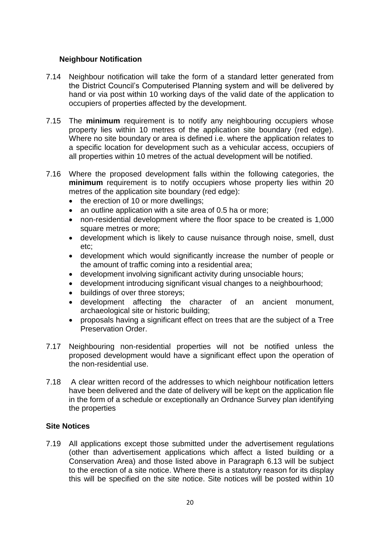## **Neighbour Notification**

- 7.14 Neighbour notification will take the form of a standard letter generated from the District Council's Computerised Planning system and will be delivered by hand or via post within 10 working days of the valid date of the application to occupiers of properties affected by the development.
- 7.15 The **minimum** requirement is to notify any neighbouring occupiers whose property lies within 10 metres of the application site boundary (red edge). Where no site boundary or area is defined i.e. where the application relates to a specific location for development such as a vehicular access, occupiers of all properties within 10 metres of the actual development will be notified.
- 7.16 Where the proposed development falls within the following categories, the **minimum** requirement is to notify occupiers whose property lies within 20 metres of the application site boundary (red edge):
	- the erection of 10 or more dwellings;
	- an outline application with a site area of 0.5 ha or more:
	- non-residential development where the floor space to be created is 1,000 square metres or more;
	- development which is likely to cause nuisance through noise, smell, dust etc;
	- development which would significantly increase the number of people or the amount of traffic coming into a residential area;
	- development involving significant activity during unsociable hours;
	- development introducing significant visual changes to a neighbourhood;
	- buildings of over three storeys:
	- development affecting the character of an ancient monument, archaeological site or historic building;
	- proposals having a significant effect on trees that are the subject of a Tree Preservation Order.
- 7.17 Neighbouring non-residential properties will not be notified unless the proposed development would have a significant effect upon the operation of the non-residential use.
- 7.18 A clear written record of the addresses to which neighbour notification letters have been delivered and the date of delivery will be kept on the application file in the form of a schedule or exceptionally an Ordnance Survey plan identifying the properties

## **Site Notices**

7.19 All applications except those submitted under the advertisement regulations (other than advertisement applications which affect a listed building or a Conservation Area) and those listed above in Paragraph 6.13 will be subject to the erection of a site notice. Where there is a statutory reason for its display this will be specified on the site notice. Site notices will be posted within 10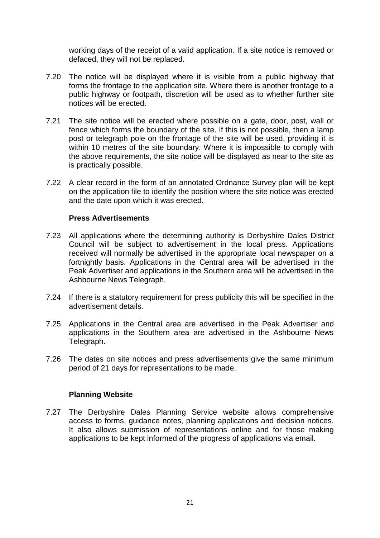working days of the receipt of a valid application. If a site notice is removed or defaced, they will not be replaced.

- 7.20 The notice will be displayed where it is visible from a public highway that forms the frontage to the application site. Where there is another frontage to a public highway or footpath, discretion will be used as to whether further site notices will be erected.
- 7.21 The site notice will be erected where possible on a gate, door, post, wall or fence which forms the boundary of the site. If this is not possible, then a lamp post or telegraph pole on the frontage of the site will be used, providing it is within 10 metres of the site boundary. Where it is impossible to comply with the above requirements, the site notice will be displayed as near to the site as is practically possible.
- 7.22 A clear record in the form of an annotated Ordnance Survey plan will be kept on the application file to identify the position where the site notice was erected and the date upon which it was erected.

## **Press Advertisements**

- 7.23 All applications where the determining authority is Derbyshire Dales District Council will be subject to advertisement in the local press. Applications received will normally be advertised in the appropriate local newspaper on a fortnightly basis. Applications in the Central area will be advertised in the Peak Advertiser and applications in the Southern area will be advertised in the Ashbourne News Telegraph.
- 7.24 If there is a statutory requirement for press publicity this will be specified in the advertisement details.
- 7.25 Applications in the Central area are advertised in the Peak Advertiser and applications in the Southern area are advertised in the Ashbourne News Telegraph.
- 7.26 The dates on site notices and press advertisements give the same minimum period of 21 days for representations to be made.

#### **Planning Website**

7.27 The Derbyshire Dales Planning Service website allows comprehensive access to forms, guidance notes, planning applications and decision notices. It also allows submission of representations online and for those making applications to be kept informed of the progress of applications via email.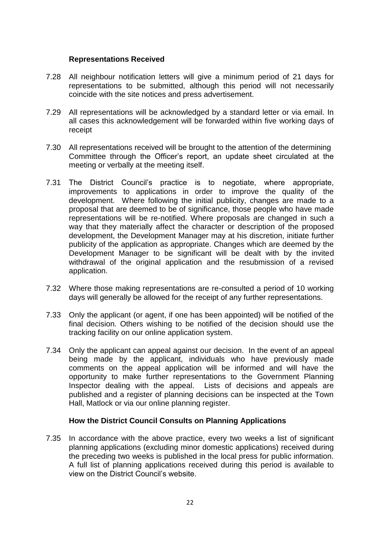## **Representations Received**

- 7.28 All neighbour notification letters will give a minimum period of 21 days for representations to be submitted, although this period will not necessarily coincide with the site notices and press advertisement.
- 7.29 All representations will be acknowledged by a standard letter or via email. In all cases this acknowledgement will be forwarded within five working days of receipt
- 7.30 All representations received will be brought to the attention of the determining Committee through the Officer's report, an update sheet circulated at the meeting or verbally at the meeting itself.
- 7.31 The District Council's practice is to negotiate, where appropriate, improvements to applications in order to improve the quality of the development. Where following the initial publicity, changes are made to a proposal that are deemed to be of significance, those people who have made representations will be re-notified. Where proposals are changed in such a way that they materially affect the character or description of the proposed development, the Development Manager may at his discretion, initiate further publicity of the application as appropriate. Changes which are deemed by the Development Manager to be significant will be dealt with by the invited withdrawal of the original application and the resubmission of a revised application.
- 7.32 Where those making representations are re-consulted a period of 10 working days will generally be allowed for the receipt of any further representations.
- 7.33 Only the applicant (or agent, if one has been appointed) will be notified of the final decision. Others wishing to be notified of the decision should use the tracking facility on our online application system.
- 7.34 Only the applicant can appeal against our decision. In the event of an appeal being made by the applicant, individuals who have previously made comments on the appeal application will be informed and will have the opportunity to make further representations to the Government Planning Inspector dealing with the appeal. Lists of decisions and appeals are published and a register of planning decisions can be inspected at the Town Hall, Matlock or via our online planning register.

## **How the District Council Consults on Planning Applications**

7.35 In accordance with the above practice, every two weeks a list of significant planning applications (excluding minor domestic applications) received during the preceding two weeks is published in the local press for public information. A full list of planning applications received during this period is available to view on the District Council's website.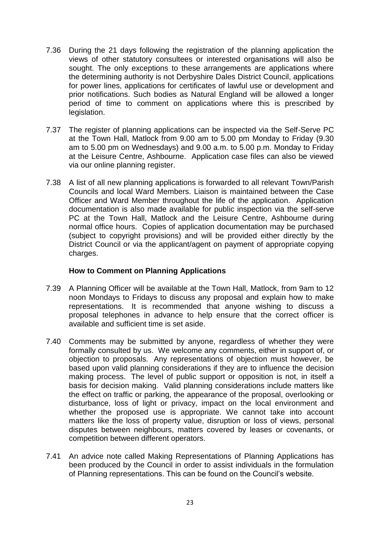- 7.36 During the 21 days following the registration of the planning application the views of other statutory consultees or interested organisations will also be sought. The only exceptions to these arrangements are applications where the determining authority is not Derbyshire Dales District Council, applications for power lines, applications for certificates of lawful use or development and prior notifications. Such bodies as Natural England will be allowed a longer period of time to comment on applications where this is prescribed by legislation.
- 7.37 The register of planning applications can be inspected via the Self-Serve PC at the Town Hall, Matlock from 9.00 am to 5.00 pm Monday to Friday (9.30 am to 5.00 pm on Wednesdays) and 9.00 a.m. to 5.00 p.m. Monday to Friday at the Leisure Centre, Ashbourne. Application case files can also be viewed via our online planning register.
- 7.38 A list of all new planning applications is forwarded to all relevant Town/Parish Councils and local Ward Members. Liaison is maintained between the Case Officer and Ward Member throughout the life of the application. Application documentation is also made available for public inspection via the self-serve PC at the Town Hall, Matlock and the Leisure Centre, Ashbourne during normal office hours. Copies of application documentation may be purchased (subject to copyright provisions) and will be provided either directly by the District Council or via the applicant/agent on payment of appropriate copying charges.

## **How to Comment on Planning Applications**

- 7.39 A Planning Officer will be available at the Town Hall, Matlock, from 9am to 12 noon Mondays to Fridays to discuss any proposal and explain how to make representations. It is recommended that anyone wishing to discuss a proposal telephones in advance to help ensure that the correct officer is available and sufficient time is set aside.
- 7.40 Comments may be submitted by anyone, regardless of whether they were formally consulted by us. We welcome any comments, either in support of, or objection to proposals. Any representations of objection must however, be based upon valid planning considerations if they are to influence the decision making process. The level of public support or opposition is not, in itself a basis for decision making. Valid planning considerations include matters like the effect on traffic or parking, the appearance of the proposal, overlooking or disturbance, loss of light or privacy, impact on the local environment and whether the proposed use is appropriate. We cannot take into account matters like the loss of property value, disruption or loss of views, personal disputes between neighbours, matters covered by leases or covenants, or competition between different operators.
- 7.41 An advice note called Making Representations of Planning Applications has been produced by the Council in order to assist individuals in the formulation of Planning representations. This can be found on the Council's website.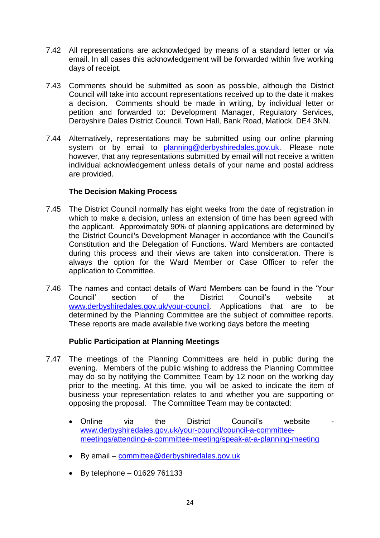- 7.42 All representations are acknowledged by means of a standard letter or via email. In all cases this acknowledgement will be forwarded within five working days of receipt.
- 7.43 Comments should be submitted as soon as possible, although the District Council will take into account representations received up to the date it makes a decision. Comments should be made in writing, by individual letter or petition and forwarded to: Development Manager, Regulatory Services, Derbyshire Dales District Council, Town Hall, Bank Road, Matlock, DE4 3NN.
- 7.44 Alternatively, representations may be submitted using our online planning system or by email to [planning@derbyshiredales.gov.uk.](mailto:planning@derbyshiredales.gov.uk) Please note however, that any representations submitted by email will not receive a written individual acknowledgement unless details of your name and postal address are provided.

## **The Decision Making Process**

- 7.45 The District Council normally has eight weeks from the date of registration in which to make a decision, unless an extension of time has been agreed with the applicant. Approximately 90% of planning applications are determined by the District Council's Development Manager in accordance with the Council's Constitution and the Delegation of Functions. Ward Members are contacted during this process and their views are taken into consideration. There is always the option for the Ward Member or Case Officer to refer the application to Committee.
- 7.46 The names and contact details of Ward Members can be found in the 'Your Council' section of the District Council's website at [www.derbyshiredales.gov.uk/your-council.](http://www.derbyshiredales.gov.uk/your-council) Applications that are to be determined by the Planning Committee are the subject of committee reports. These reports are made available five working days before the meeting

# **Public Participation at Planning Meetings**

- 7.47 The meetings of the Planning Committees are held in public during the evening. Members of the public wishing to address the Planning Committee may do so by notifying the Committee Team by 12 noon on the working day prior to the meeting. At this time, you will be asked to indicate the item of business your representation relates to and whether you are supporting or opposing the proposal. The Committee Team may be contacted:
	- Online via the District Council's website [www.derbyshiredales.gov.uk/your-council/council-a-committee](http://www.derbyshiredales.gov.uk/your-council/council-a-committee-meetings/attending-a-committee-meeting/speak-at-a-planning-meeting)[meetings/attending-a-committee-meeting/speak-at-a-planning-meeting](http://www.derbyshiredales.gov.uk/your-council/council-a-committee-meetings/attending-a-committee-meeting/speak-at-a-planning-meeting)
	- By email [committee@derbyshiredales.gov.uk](mailto:committee@derbyshiredales.gov.uk)
	- $\bullet$  By telephone 01629 761133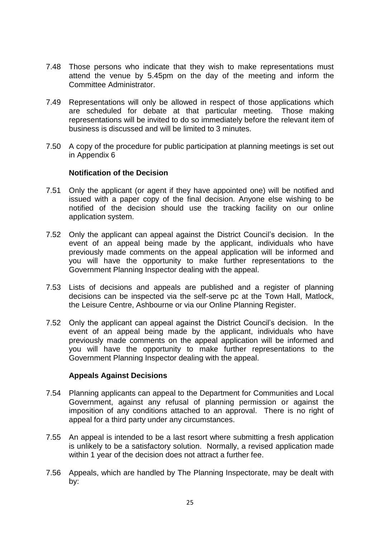- 7.48 Those persons who indicate that they wish to make representations must attend the venue by 5.45pm on the day of the meeting and inform the Committee Administrator.
- 7.49 Representations will only be allowed in respect of those applications which are scheduled for debate at that particular meeting. Those making representations will be invited to do so immediately before the relevant item of business is discussed and will be limited to 3 minutes.
- 7.50 A copy of the procedure for public participation at planning meetings is set out in Appendix 6

## **Notification of the Decision**

- 7.51 Only the applicant (or agent if they have appointed one) will be notified and issued with a paper copy of the final decision. Anyone else wishing to be notified of the decision should use the tracking facility on our online application system.
- 7.52 Only the applicant can appeal against the District Council's decision. In the event of an appeal being made by the applicant, individuals who have previously made comments on the appeal application will be informed and you will have the opportunity to make further representations to the Government Planning Inspector dealing with the appeal.
- 7.53 Lists of decisions and appeals are published and a register of planning decisions can be inspected via the self-serve pc at the Town Hall, Matlock, the Leisure Centre, Ashbourne or via our Online Planning Register.
- 7.52 Only the applicant can appeal against the District Council's decision. In the event of an appeal being made by the applicant, individuals who have previously made comments on the appeal application will be informed and you will have the opportunity to make further representations to the Government Planning Inspector dealing with the appeal.

#### **Appeals Against Decisions**

- 7.54 Planning applicants can appeal to the Department for Communities and Local Government, against any refusal of planning permission or against the imposition of any conditions attached to an approval. There is no right of appeal for a third party under any circumstances.
- 7.55 An appeal is intended to be a last resort where submitting a fresh application is unlikely to be a satisfactory solution. Normally, a revised application made within 1 year of the decision does not attract a further fee.
- 7.56 Appeals, which are handled by The Planning Inspectorate, may be dealt with by: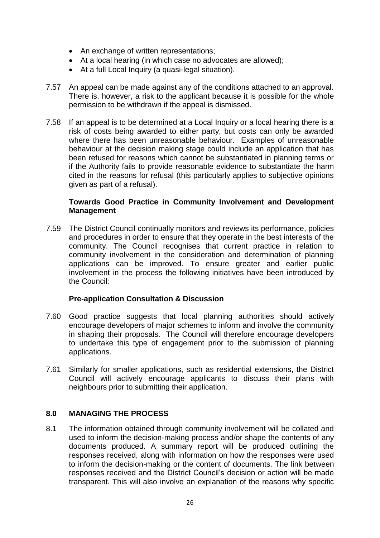- An exchange of written representations;
- At a local hearing (in which case no advocates are allowed);
- At a full Local Inquiry (a quasi-legal situation).
- 7.57 An appeal can be made against any of the conditions attached to an approval. There is, however, a risk to the applicant because it is possible for the whole permission to be withdrawn if the appeal is dismissed.
- 7.58 If an appeal is to be determined at a Local Inquiry or a local hearing there is a risk of costs being awarded to either party, but costs can only be awarded where there has been unreasonable behaviour. Examples of unreasonable behaviour at the decision making stage could include an application that has been refused for reasons which cannot be substantiated in planning terms or if the Authority fails to provide reasonable evidence to substantiate the harm cited in the reasons for refusal (this particularly applies to subjective opinions given as part of a refusal).

## **Towards Good Practice in Community Involvement and Development Management**

7.59 The District Council continually monitors and reviews its performance, policies and procedures in order to ensure that they operate in the best interests of the community. The Council recognises that current practice in relation to community involvement in the consideration and determination of planning applications can be improved. To ensure greater and earlier public involvement in the process the following initiatives have been introduced by the Council:

## **Pre-application Consultation & Discussion**

- 7.60 Good practice suggests that local planning authorities should actively encourage developers of major schemes to inform and involve the community in shaping their proposals. The Council will therefore encourage developers to undertake this type of engagement prior to the submission of planning applications.
- 7.61 Similarly for smaller applications, such as residential extensions, the District Council will actively encourage applicants to discuss their plans with neighbours prior to submitting their application.

# **8.0 MANAGING THE PROCESS**

8.1 The information obtained through community involvement will be collated and used to inform the decision-making process and/or shape the contents of any documents produced. A summary report will be produced outlining the responses received, along with information on how the responses were used to inform the decision-making or the content of documents. The link between responses received and the District Council's decision or action will be made transparent. This will also involve an explanation of the reasons why specific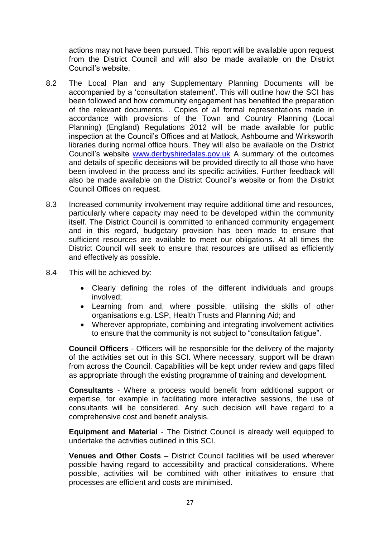actions may not have been pursued. This report will be available upon request from the District Council and will also be made available on the District Council's website.

- 8.2 The Local Plan and any Supplementary Planning Documents will be accompanied by a 'consultation statement'. This will outline how the SCI has been followed and how community engagement has benefited the preparation of the relevant documents. . Copies of all formal representations made in accordance with provisions of the Town and Country Planning (Local Planning) (England) Regulations 2012 will be made available for public inspection at the Council's Offices and at Matlock, Ashbourne and Wirksworth libraries during normal office hours. They will also be available on the District Council's website [www.derbyshiredales.gov.uk](http://www.derbyshiredales.gov.uk/) A summary of the outcomes and details of specific decisions will be provided directly to all those who have been involved in the process and its specific activities. Further feedback will also be made available on the District Council's website or from the District Council Offices on request.
- 8.3 Increased community involvement may require additional time and resources, particularly where capacity may need to be developed within the community itself. The District Council is committed to enhanced community engagement and in this regard, budgetary provision has been made to ensure that sufficient resources are available to meet our obligations. At all times the District Council will seek to ensure that resources are utilised as efficiently and effectively as possible.
- 8.4 This will be achieved by:
	- Clearly defining the roles of the different individuals and groups involved;
	- Learning from and, where possible, utilising the skills of other organisations e.g. LSP, Health Trusts and Planning Aid; and
	- Wherever appropriate, combining and integrating involvement activities to ensure that the community is not subject to "consultation fatigue".

**Council Officers** - Officers will be responsible for the delivery of the majority of the activities set out in this SCI. Where necessary, support will be drawn from across the Council. Capabilities will be kept under review and gaps filled as appropriate through the existing programme of training and development.

**Consultants** - Where a process would benefit from additional support or expertise, for example in facilitating more interactive sessions, the use of consultants will be considered. Any such decision will have regard to a comprehensive cost and benefit analysis.

**Equipment and Material** - The District Council is already well equipped to undertake the activities outlined in this SCI.

**Venues and Other Costs** – District Council facilities will be used wherever possible having regard to accessibility and practical considerations. Where possible, activities will be combined with other initiatives to ensure that processes are efficient and costs are minimised.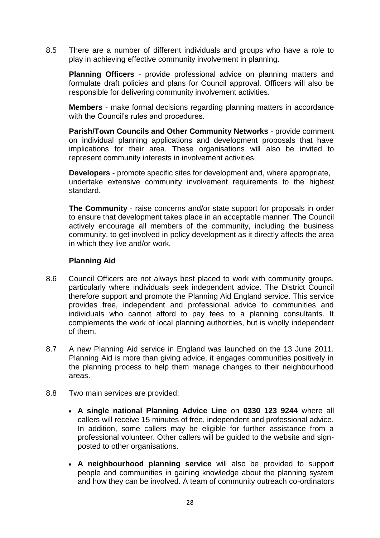8.5 There are a number of different individuals and groups who have a role to play in achieving effective community involvement in planning.

**Planning Officers** - provide professional advice on planning matters and formulate draft policies and plans for Council approval. Officers will also be responsible for delivering community involvement activities.

**Members** - make formal decisions regarding planning matters in accordance with the Council's rules and procedures.

**Parish/Town Councils and Other Community Networks** - provide comment on individual planning applications and development proposals that have implications for their area. These organisations will also be invited to represent community interests in involvement activities.

**Developers** - promote specific sites for development and, where appropriate, undertake extensive community involvement requirements to the highest standard.

**The Community** - raise concerns and/or state support for proposals in order to ensure that development takes place in an acceptable manner. The Council actively encourage all members of the community, including the business community, to get involved in policy development as it directly affects the area in which they live and/or work.

## **Planning Aid**

- 8.6 Council Officers are not always best placed to work with community groups, particularly where individuals seek independent advice. The District Council therefore support and promote the Planning Aid England service. This service provides free, independent and professional advice to communities and individuals who cannot afford to pay fees to a planning consultants. It complements the work of local planning authorities, but is wholly independent of them.
- 8.7 A new Planning Aid service in England was launched on the 13 June 2011. Planning Aid is more than giving advice, it engages communities positively in the planning process to help them manage changes to their neighbourhood areas.
- 8.8 Two main services are provided:
	- **A single national Planning Advice Line** on **0330 123 9244** where all callers will receive 15 minutes of free, independent and professional advice. In addition, some callers may be eligible for further assistance from a professional volunteer. Other callers will be guided to the website and signposted to other organisations.
	- **A neighbourhood planning service** will also be provided to support people and communities in gaining knowledge about the planning system and how they can be involved. A team of community outreach co-ordinators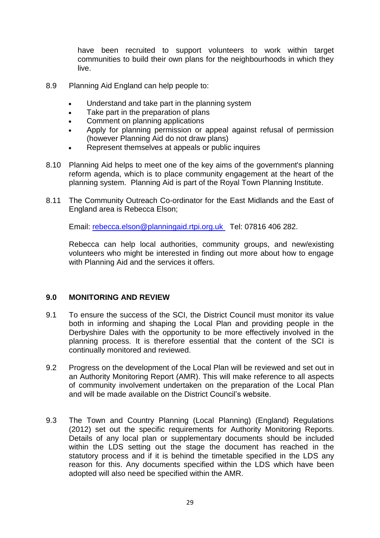have been recruited to support volunteers to work within target communities to build their own plans for the neighbourhoods in which they live.

- 8.9 Planning Aid England can help people to:
	- Understand and take part in the planning system
	- Take part in the preparation of plans
	- Comment on planning applications
	- Apply for planning permission or appeal against refusal of permission (however Planning Aid do not draw plans)
	- Represent themselves at appeals or public inquires
- 8.10 Planning Aid helps to meet one of the key aims of the government's planning reform agenda, which is to place community engagement at the heart of the planning system. Planning Aid is part of the Royal Town Planning Institute.
- 8.11 The Community Outreach Co-ordinator for the East Midlands and the East of England area is Rebecca Elson;

Email: [rebecca.elson@planningaid.rtpi.org.uk](mailto:rebecca.elson@planningaid.rtpi.org.uk) Tel: 07816 406 282.

Rebecca can help local authorities, community groups, and new/existing volunteers who might be interested in finding out more about how to engage with Planning Aid and the services it offers.

## **9.0 MONITORING AND REVIEW**

- 9.1 To ensure the success of the SCI, the District Council must monitor its value both in informing and shaping the Local Plan and providing people in the Derbyshire Dales with the opportunity to be more effectively involved in the planning process. It is therefore essential that the content of the SCI is continually monitored and reviewed.
- 9.2 Progress on the development of the Local Plan will be reviewed and set out in an Authority Monitoring Report (AMR). This will make reference to all aspects of community involvement undertaken on the preparation of the Local Plan and will be made available on the District Council's website.
- 9.3 The Town and Country Planning (Local Planning) (England) Regulations (2012) set out the specific requirements for Authority Monitoring Reports. Details of any local plan or supplementary documents should be included within the LDS setting out the stage the document has reached in the statutory process and if it is behind the timetable specified in the LDS any reason for this. Any documents specified within the LDS which have been adopted will also need be specified within the AMR.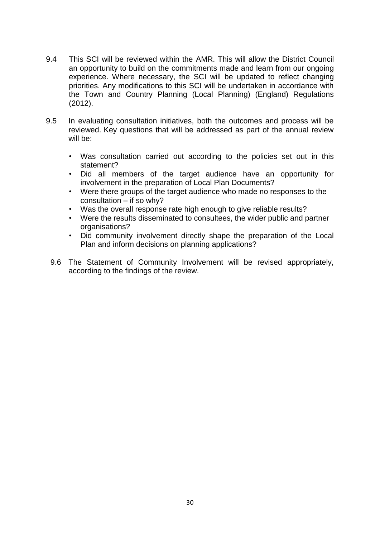- 9.4 This SCI will be reviewed within the AMR. This will allow the District Council an opportunity to build on the commitments made and learn from our ongoing experience. Where necessary, the SCI will be updated to reflect changing priorities. Any modifications to this SCI will be undertaken in accordance with the Town and Country Planning (Local Planning) (England) Regulations (2012).
- 9.5 In evaluating consultation initiatives, both the outcomes and process will be reviewed. Key questions that will be addressed as part of the annual review will be:
	- Was consultation carried out according to the policies set out in this statement?
	- Did all members of the target audience have an opportunity for involvement in the preparation of Local Plan Documents?
	- Were there groups of the target audience who made no responses to the consultation – if so why?
	- Was the overall response rate high enough to give reliable results?
	- Were the results disseminated to consultees, the wider public and partner organisations?
	- Did community involvement directly shape the preparation of the Local Plan and inform decisions on planning applications?
	- 9.6 The Statement of Community Involvement will be revised appropriately, according to the findings of the review.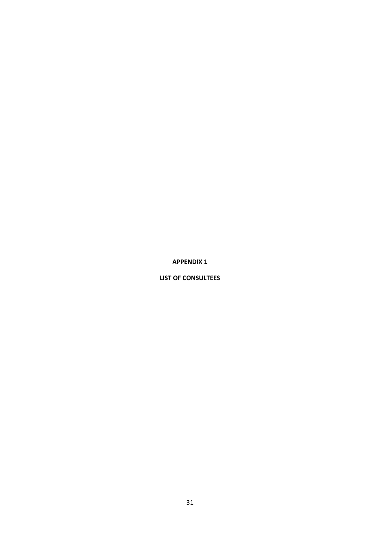**APPENDIX 1**

**LIST OF CONSULTEES**

31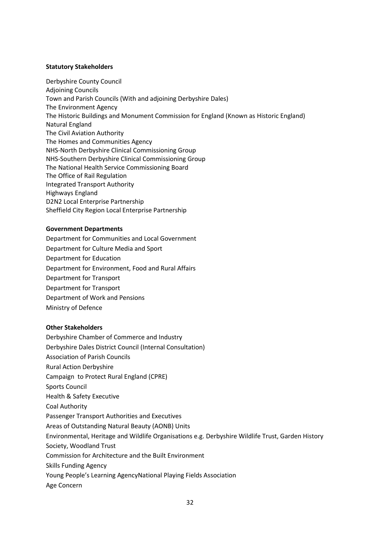#### **Statutory Stakeholders**

Derbyshire County Council Adjoining Councils Town and Parish Councils (With and adjoining Derbyshire Dales) The Environment Agency The Historic Buildings and Monument Commission for England (Known as Historic England) Natural England The Civil Aviation Authority The Homes and Communities Agency NHS-North Derbyshire Clinical Commissioning Group NHS-Southern Derbyshire Clinical Commissioning Group The National Health Service Commissioning Board The Office of Rail Regulation Integrated Transport Authority Highways England D2N2 Local Enterprise Partnership Sheffield City Region Local Enterprise Partnership

#### **Government Departments**

Department for Communities and Local Government Department for Culture Media and Sport Department for Education Department for Environment, Food and Rural Affairs Department for Transport Department for Transport Department of Work and Pensions Ministry of Defence

#### **Other Stakeholders**

Derbyshire Chamber of Commerce and Industry Derbyshire Dales District Council (Internal Consultation) Association of Parish Councils Rural Action Derbyshire Campaign to Protect Rural England (CPRE) Sports Council Health & Safety Executive Coal Authority Passenger Transport Authorities and Executives Areas of Outstanding Natural Beauty (AONB) Units Environmental, Heritage and Wildlife Organisations e.g. Derbyshire Wildlife Trust, Garden History Society, Woodland Trust Commission for Architecture and the Built Environment Skills Funding Agency Young People's Learning AgencyNational Playing Fields Association Age Concern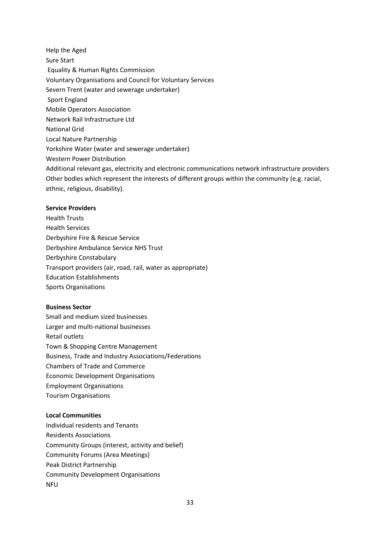Help the Aged Sure Start Equality & Human Rights Commission Voluntary Organisations and Council for Voluntary Services Severn Trent (water and sewerage undertaker) Sport England Mobile Operators Association Network Rail Infrastructure Ltd National Grid Local Nature Partnership Yorkshire Water (water and sewerage undertaker) Western Power Distribution Additional relevant gas, electricity and electronic communications network infrastructure providers Other bodies which represent the interests of different groups within the community (e.g. racial, ethnic, religious, disability).

#### **Service Providers**

Health Trusts Health Services Derbyshire Fire & Rescue Service Derbyshire Ambulance Service NHS Trust Derbyshire Constabulary Transport providers (air, road, rail, water as appropriate) Education Establishments Sports Organisations

#### **Business Sector**

Small and medium sized businesses Larger and multi-national businesses Retail outlets Town & Shopping Centre Management Business, Trade and Industry Associations/Federations Chambers of Trade and Commerce Economic Development Organisations Employment Organisations Tourism Organisations

#### **Local Communities**

Individual residents and Tenants Residents Associations Community Groups (interest, activity and belief) Community Forums (Area Meetings) Peak District Partnership Community Development Organisations **NFU**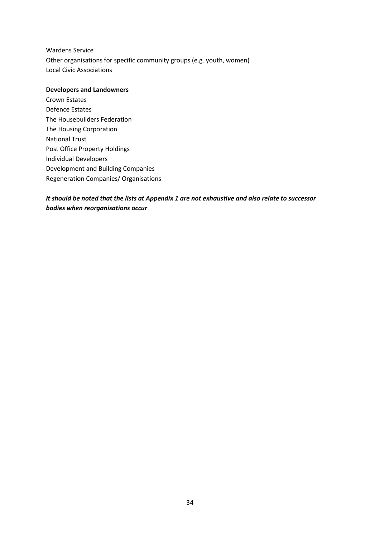Wardens Service Other organisations for specific community groups (e.g. youth, women) Local Civic Associations

#### **Developers and Landowners**

Crown Estates Defence Estates The Housebuilders Federation The Housing Corporation National Trust Post Office Property Holdings Individual Developers Development and Building Companies Regeneration Companies/ Organisations

## *It should be noted that the lists at Appendix 1 are not exhaustive and also relate to successor bodies when reorganisations occur*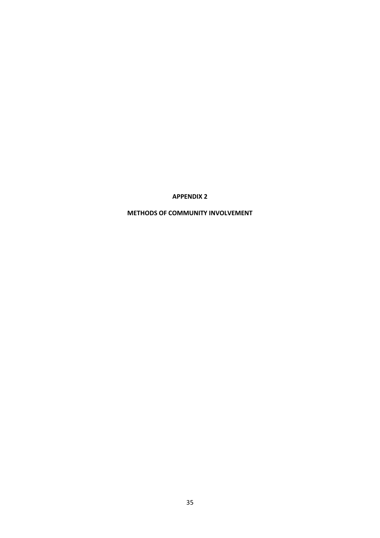**APPENDIX 2**

**METHODS OF COMMUNITY INVOLVEMENT**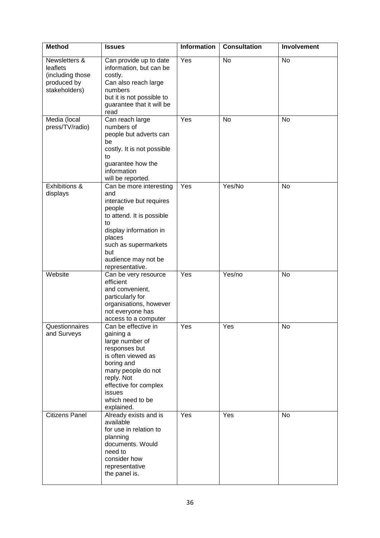| <b>Method</b>                                                                 | <b>Issues</b>                                                                                                                                                                                                        | <b>Information</b> | <b>Consultation</b> | Involvement |  |
|-------------------------------------------------------------------------------|----------------------------------------------------------------------------------------------------------------------------------------------------------------------------------------------------------------------|--------------------|---------------------|-------------|--|
| Newsletters &<br>leaflets<br>(including those<br>produced by<br>stakeholders) | Can provide up to date<br>information, but can be<br>costly.<br>Can also reach large<br>numbers<br>but it is not possible to<br>guarantee that it will be<br>read                                                    | Yes                | <b>No</b>           | No          |  |
| Media (local<br>press/TV/radio)                                               | Can reach large<br>numbers of<br>people but adverts can<br>be<br>costly. It is not possible<br>to<br>guarantee how the<br>information<br>will be reported.                                                           | Yes                | No                  | No          |  |
| Exhibitions &<br>displays                                                     | Can be more interesting<br>and<br>interactive but requires<br>people<br>to attend. It is possible<br>to<br>display information in<br>places<br>such as supermarkets<br>but<br>audience may not be<br>representative. | Yes                | Yes/No              | No          |  |
| Website                                                                       | Can be very resource<br>efficient<br>and convenient,<br>particularly for<br>organisations, however<br>not everyone has<br>access to a computer                                                                       | Yes                | Yes/no              | No          |  |
| Questionnaires<br>and Surveys                                                 | Can be effective in<br>gaining a<br>large number of<br>responses but<br>is often viewed as<br>boring and<br>many people do not<br>reply. Not<br>effective for complex<br>issues<br>which need to be<br>explained.    | Yes                | Yes                 | No          |  |
| Citizens Panel                                                                | Already exists and is<br>available<br>for use in relation to<br>planning<br>documents. Would<br>need to<br>consider how<br>representative<br>the panel is.                                                           | Yes                | Yes                 | No          |  |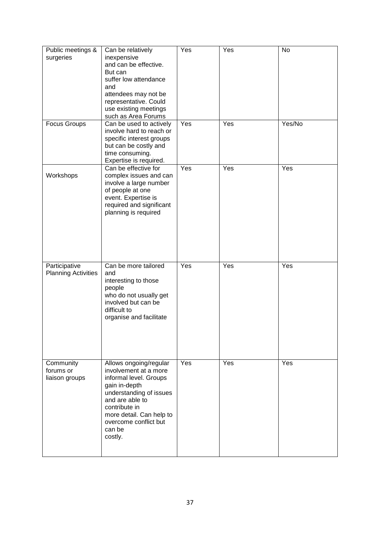| Public meetings &<br>surgeries              | Can be relatively<br>inexpensive<br>and can be effective.<br>But can<br>suffer low attendance<br>and<br>attendees may not be<br>representative. Could<br>use existing meetings<br>such as Area Forums                               | Yes | Yes | No     |
|---------------------------------------------|-------------------------------------------------------------------------------------------------------------------------------------------------------------------------------------------------------------------------------------|-----|-----|--------|
| <b>Focus Groups</b>                         | Can be used to actively<br>involve hard to reach or<br>specific interest groups<br>but can be costly and<br>time consuming.<br>Expertise is required.                                                                               | Yes | Yes | Yes/No |
| Workshops                                   | Can be effective for<br>complex issues and can<br>involve a large number<br>of people at one<br>event. Expertise is<br>required and significant<br>planning is required                                                             | Yes | Yes | Yes    |
| Participative<br><b>Planning Activities</b> | Can be more tailored<br>and<br>interesting to those<br>people<br>who do not usually get<br>involved but can be<br>difficult to<br>organise and facilitate                                                                           | Yes | Yes | Yes    |
| Community<br>forums or<br>liaison groups    | Allows ongoing/regular<br>involvement at a more<br>informal level. Groups<br>gain in-depth<br>understanding of issues<br>and are able to<br>contribute in<br>more detail. Can help to<br>overcome conflict but<br>can be<br>costly. | Yes | Yes | Yes    |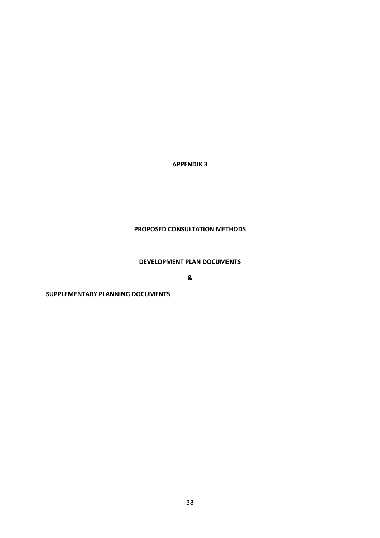### **APPENDIX 3**

## **PROPOSED CONSULTATION METHODS**

### **DEVELOPMENT PLAN DOCUMENTS**

**&**

#### **SUPPLEMENTARY PLANNING DOCUMENTS**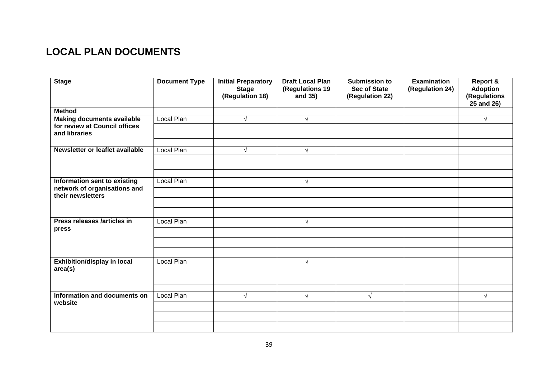# **LOCAL PLAN DOCUMENTS**

| <b>Stage</b>                            | <b>Document Type</b> | <b>Initial Preparatory</b><br><b>Stage</b><br>(Regulation 18) | <b>Draft Local Plan</b><br>(Regulations 19<br>and 35) | <b>Submission to</b><br><b>Sec of State</b><br>(Regulation 22) | <b>Examination</b><br>(Regulation 24) | <b>Report &amp;</b><br><b>Adoption</b><br>(Regulations<br>25 and 26) |
|-----------------------------------------|----------------------|---------------------------------------------------------------|-------------------------------------------------------|----------------------------------------------------------------|---------------------------------------|----------------------------------------------------------------------|
| <b>Method</b>                           |                      |                                                               |                                                       |                                                                |                                       |                                                                      |
| <b>Making documents available</b>       | Local Plan           | N                                                             |                                                       |                                                                |                                       | $\sqrt{}$                                                            |
| for review at Council offices           |                      |                                                               |                                                       |                                                                |                                       |                                                                      |
| and libraries                           |                      |                                                               |                                                       |                                                                |                                       |                                                                      |
|                                         |                      |                                                               |                                                       |                                                                |                                       |                                                                      |
| Newsletter or leaflet available         | Local Plan           | J                                                             | $\sqrt{ }$                                            |                                                                |                                       |                                                                      |
|                                         |                      |                                                               |                                                       |                                                                |                                       |                                                                      |
|                                         |                      |                                                               |                                                       |                                                                |                                       |                                                                      |
|                                         |                      |                                                               |                                                       |                                                                |                                       |                                                                      |
| Information sent to existing            | Local Plan           |                                                               | $\sqrt{ }$                                            |                                                                |                                       |                                                                      |
| network of organisations and            |                      |                                                               |                                                       |                                                                |                                       |                                                                      |
| their newsletters                       |                      |                                                               |                                                       |                                                                |                                       |                                                                      |
|                                         |                      |                                                               |                                                       |                                                                |                                       |                                                                      |
|                                         |                      |                                                               |                                                       |                                                                |                                       |                                                                      |
| Press releases /articles in             | Local Plan           |                                                               | $\sqrt{ }$                                            |                                                                |                                       |                                                                      |
| press                                   |                      |                                                               |                                                       |                                                                |                                       |                                                                      |
|                                         |                      |                                                               |                                                       |                                                                |                                       |                                                                      |
|                                         |                      |                                                               |                                                       |                                                                |                                       |                                                                      |
|                                         |                      |                                                               |                                                       |                                                                |                                       |                                                                      |
| <b>Exhibition/display in local</b>      | Local Plan           |                                                               | $\mathcal{N}$                                         |                                                                |                                       |                                                                      |
| area(s)                                 |                      |                                                               |                                                       |                                                                |                                       |                                                                      |
|                                         |                      |                                                               |                                                       |                                                                |                                       |                                                                      |
|                                         |                      |                                                               |                                                       |                                                                |                                       |                                                                      |
| Information and documents on<br>website | Local Plan           | $\sqrt{ }$                                                    | $\sqrt{ }$                                            | $\sqrt{ }$                                                     |                                       | $\sqrt{ }$                                                           |
|                                         |                      |                                                               |                                                       |                                                                |                                       |                                                                      |
|                                         |                      |                                                               |                                                       |                                                                |                                       |                                                                      |
|                                         |                      |                                                               |                                                       |                                                                |                                       |                                                                      |
|                                         |                      |                                                               |                                                       |                                                                |                                       |                                                                      |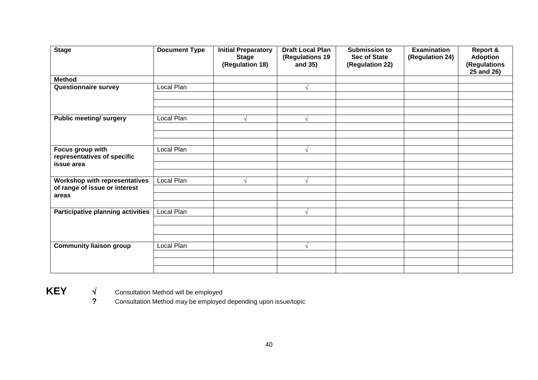| <b>Stage</b>                             | <b>Document Type</b> | <b>Initial Preparatory</b><br><b>Stage</b><br>(Regulation 18) | <b>Draft Local Plan</b><br>(Regulations 19<br>and 35) | <b>Submission to</b><br><b>Sec of State</b><br>(Regulation 22) | <b>Examination</b><br>(Regulation 24) | Report &<br><b>Adoption</b><br>(Regulations<br>25 and 26) |
|------------------------------------------|----------------------|---------------------------------------------------------------|-------------------------------------------------------|----------------------------------------------------------------|---------------------------------------|-----------------------------------------------------------|
| <b>Method</b>                            |                      |                                                               |                                                       |                                                                |                                       |                                                           |
| <b>Questionnaire survey</b>              | Local Plan           |                                                               |                                                       |                                                                |                                       |                                                           |
|                                          |                      |                                                               |                                                       |                                                                |                                       |                                                           |
|                                          |                      |                                                               |                                                       |                                                                |                                       |                                                           |
|                                          |                      |                                                               |                                                       |                                                                |                                       |                                                           |
| <b>Public meeting/ surgery</b>           | Local Plan           | V                                                             | N                                                     |                                                                |                                       |                                                           |
|                                          |                      |                                                               |                                                       |                                                                |                                       |                                                           |
|                                          |                      |                                                               |                                                       |                                                                |                                       |                                                           |
|                                          |                      |                                                               |                                                       |                                                                |                                       |                                                           |
| Focus group with                         | Local Plan           |                                                               |                                                       |                                                                |                                       |                                                           |
| representatives of specific              |                      |                                                               |                                                       |                                                                |                                       |                                                           |
| issue area                               |                      |                                                               |                                                       |                                                                |                                       |                                                           |
|                                          |                      |                                                               |                                                       |                                                                |                                       |                                                           |
| Workshop with representatives            | Local Plan           | اد                                                            |                                                       |                                                                |                                       |                                                           |
| of range of issue or interest<br>areas   |                      |                                                               |                                                       |                                                                |                                       |                                                           |
|                                          |                      |                                                               |                                                       |                                                                |                                       |                                                           |
| <b>Participative planning activities</b> | Local Plan           |                                                               |                                                       |                                                                |                                       |                                                           |
|                                          |                      |                                                               |                                                       |                                                                |                                       |                                                           |
|                                          |                      |                                                               |                                                       |                                                                |                                       |                                                           |
|                                          |                      |                                                               |                                                       |                                                                |                                       |                                                           |
|                                          |                      |                                                               |                                                       |                                                                |                                       |                                                           |
| <b>Community liaison group</b>           | Local Plan           |                                                               |                                                       |                                                                |                                       |                                                           |
|                                          |                      |                                                               |                                                       |                                                                |                                       |                                                           |
|                                          |                      |                                                               |                                                       |                                                                |                                       |                                                           |
|                                          |                      |                                                               |                                                       |                                                                |                                       |                                                           |

**KEY**  $\sqrt{\phantom{a}}$  Consultation Method will be employed<br> **REY Consultation Method may be employed** 

**?** Consultation Method may be employed depending upon issue/topic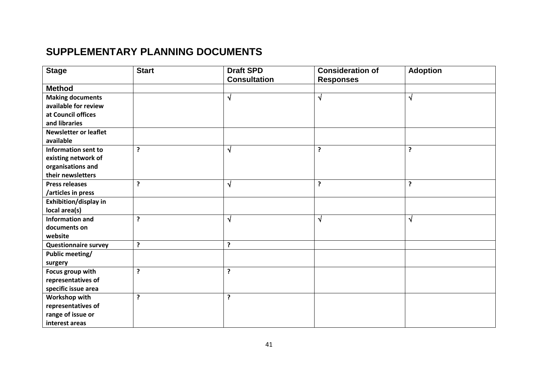# **SUPPLEMENTARY PLANNING DOCUMENTS**

| <b>Stage</b>                 | <b>Start</b> | <b>Draft SPD</b>    | <b>Consideration of</b> | <b>Adoption</b> |
|------------------------------|--------------|---------------------|-------------------------|-----------------|
|                              |              | <b>Consultation</b> | <b>Responses</b>        |                 |
| <b>Method</b>                |              |                     |                         |                 |
| <b>Making documents</b>      |              | √                   | $\sqrt{ }$              | N               |
| available for review         |              |                     |                         |                 |
| at Council offices           |              |                     |                         |                 |
| and libraries                |              |                     |                         |                 |
| <b>Newsletter or leaflet</b> |              |                     |                         |                 |
| available                    |              |                     |                         |                 |
| <b>Information sent to</b>   | ?            | N                   | $\cdot$                 | ?               |
| existing network of          |              |                     |                         |                 |
| organisations and            |              |                     |                         |                 |
| their newsletters            |              |                     |                         |                 |
| <b>Press releases</b>        | ?            | N                   | $\cdot$                 | ?               |
| /articles in press           |              |                     |                         |                 |
| Exhibition/display in        |              |                     |                         |                 |
| local area(s)                |              |                     |                         |                 |
| <b>Information and</b>       | ?            | N                   | $\sqrt{ }$              | $\sqrt{}$       |
| documents on                 |              |                     |                         |                 |
| website                      |              |                     |                         |                 |
| <b>Questionnaire survey</b>  | Ś.           | ?                   |                         |                 |
| <b>Public meeting/</b>       |              |                     |                         |                 |
| surgery                      |              |                     |                         |                 |
| Focus group with             | <sup>2</sup> | ?                   |                         |                 |
| representatives of           |              |                     |                         |                 |
| specific issue area          |              |                     |                         |                 |
| Workshop with                | ?            | ?                   |                         |                 |
| representatives of           |              |                     |                         |                 |
| range of issue or            |              |                     |                         |                 |
| interest areas               |              |                     |                         |                 |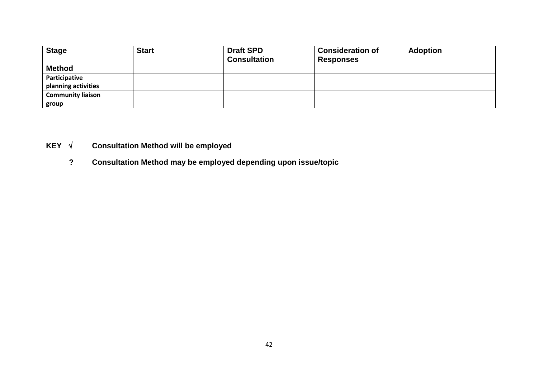| <b>Stage</b>             | <b>Start</b> | <b>Draft SPD</b><br><b>Consultation</b> | <b>Consideration of</b><br><b>Responses</b> | <b>Adoption</b> |
|--------------------------|--------------|-----------------------------------------|---------------------------------------------|-----------------|
| <b>Method</b>            |              |                                         |                                             |                 |
| Participative            |              |                                         |                                             |                 |
| planning activities      |              |                                         |                                             |                 |
| <b>Community liaison</b> |              |                                         |                                             |                 |
| group                    |              |                                         |                                             |                 |

# **KEY Consultation Method will be employed**

**? Consultation Method may be employed depending upon issue/topic**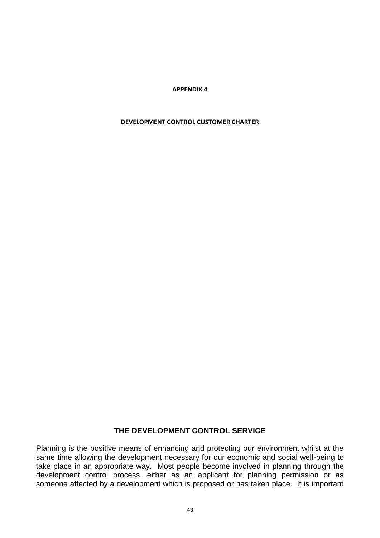**APPENDIX 4**

#### **DEVELOPMENT CONTROL CUSTOMER CHARTER**

## **THE DEVELOPMENT CONTROL SERVICE**

Planning is the positive means of enhancing and protecting our environment whilst at the same time allowing the development necessary for our economic and social well-being to take place in an appropriate way. Most people become involved in planning through the development control process, either as an applicant for planning permission or as someone affected by a development which is proposed or has taken place. It is important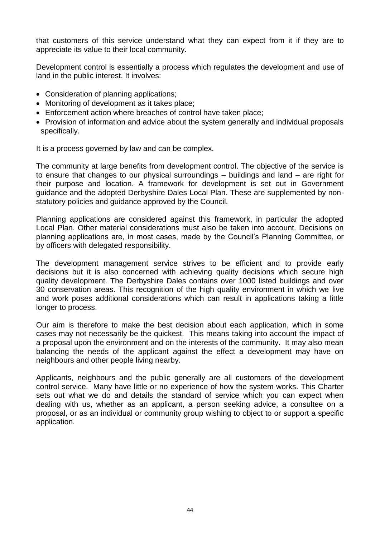that customers of this service understand what they can expect from it if they are to appreciate its value to their local community.

Development control is essentially a process which regulates the development and use of land in the public interest. It involves:

- Consideration of planning applications;
- Monitoring of development as it takes place:
- Enforcement action where breaches of control have taken place;
- Provision of information and advice about the system generally and individual proposals specifically.

It is a process governed by law and can be complex.

The community at large benefits from development control. The objective of the service is to ensure that changes to our physical surroundings – buildings and land – are right for their purpose and location. A framework for development is set out in Government guidance and the adopted Derbyshire Dales Local Plan. These are supplemented by nonstatutory policies and guidance approved by the Council.

Planning applications are considered against this framework, in particular the adopted Local Plan. Other material considerations must also be taken into account. Decisions on planning applications are, in most cases, made by the Council's Planning Committee, or by officers with delegated responsibility.

The development management service strives to be efficient and to provide early decisions but it is also concerned with achieving quality decisions which secure high quality development. The Derbyshire Dales contains over 1000 listed buildings and over 30 conservation areas. This recognition of the high quality environment in which we live and work poses additional considerations which can result in applications taking a little longer to process.

Our aim is therefore to make the best decision about each application, which in some cases may not necessarily be the quickest. This means taking into account the impact of a proposal upon the environment and on the interests of the community. It may also mean balancing the needs of the applicant against the effect a development may have on neighbours and other people living nearby.

Applicants, neighbours and the public generally are all customers of the development control service. Many have little or no experience of how the system works. This Charter sets out what we do and details the standard of service which you can expect when dealing with us, whether as an applicant, a person seeking advice, a consultee on a proposal, or as an individual or community group wishing to object to or support a specific application.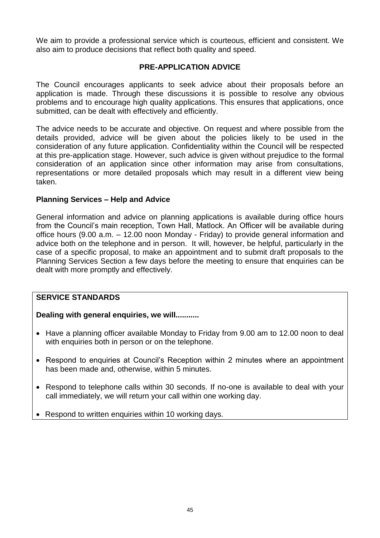We aim to provide a professional service which is courteous, efficient and consistent. We also aim to produce decisions that reflect both quality and speed.

# **PRE-APPLICATION ADVICE**

The Council encourages applicants to seek advice about their proposals before an application is made. Through these discussions it is possible to resolve any obvious problems and to encourage high quality applications. This ensures that applications, once submitted, can be dealt with effectively and efficiently.

The advice needs to be accurate and objective. On request and where possible from the details provided, advice will be given about the policies likely to be used in the consideration of any future application. Confidentiality within the Council will be respected at this pre-application stage. However, such advice is given without prejudice to the formal consideration of an application since other information may arise from consultations, representations or more detailed proposals which may result in a different view being taken.

## **Planning Services – Help and Advice**

General information and advice on planning applications is available during office hours from the Council's main reception, Town Hall, Matlock. An Officer will be available during office hours (9.00 a.m. – 12.00 noon Monday - Friday) to provide general information and advice both on the telephone and in person. It will, however, be helpful, particularly in the case of a specific proposal, to make an appointment and to submit draft proposals to the Planning Services Section a few days before the meeting to ensure that enquiries can be dealt with more promptly and effectively.

## **SERVICE STANDARDS**

# **Dealing with general enquiries, we will...........**

- Have a planning officer available Monday to Friday from 9.00 am to 12.00 noon to deal with enquiries both in person or on the telephone.
- Respond to enquiries at Council's Reception within 2 minutes where an appointment has been made and, otherwise, within 5 minutes.
- Respond to telephone calls within 30 seconds. If no-one is available to deal with your call immediately, we will return your call within one working day.
- Respond to written enquiries within 10 working days.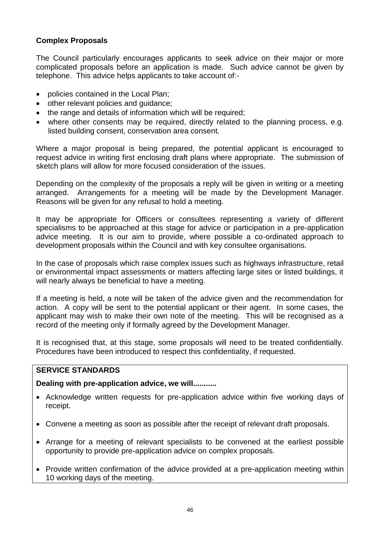# **Complex Proposals**

The Council particularly encourages applicants to seek advice on their major or more complicated proposals before an application is made. Such advice cannot be given by telephone. This advice helps applicants to take account of:-

- policies contained in the Local Plan;
- other relevant policies and quidance:
- the range and details of information which will be required;
- where other consents may be required, directly related to the planning process, e.g. listed building consent, conservation area consent.

Where a major proposal is being prepared, the potential applicant is encouraged to request advice in writing first enclosing draft plans where appropriate. The submission of sketch plans will allow for more focused consideration of the issues.

Depending on the complexity of the proposals a reply will be given in writing or a meeting arranged. Arrangements for a meeting will be made by the Development Manager. Reasons will be given for any refusal to hold a meeting.

It may be appropriate for Officers or consultees representing a variety of different specialisms to be approached at this stage for advice or participation in a pre-application advice meeting. It is our aim to provide, where possible a co-ordinated approach to development proposals within the Council and with key consultee organisations.

In the case of proposals which raise complex issues such as highways infrastructure, retail or environmental impact assessments or matters affecting large sites or listed buildings, it will nearly always be beneficial to have a meeting.

If a meeting is held, a note will be taken of the advice given and the recommendation for action. A copy will be sent to the potential applicant or their agent. In some cases, the applicant may wish to make their own note of the meeting. This will be recognised as a record of the meeting only if formally agreed by the Development Manager.

It is recognised that, at this stage, some proposals will need to be treated confidentially. Procedures have been introduced to respect this confidentiality, if requested.

## **SERVICE STANDARDS**

## **Dealing with pre-application advice, we will...........**

- Acknowledge written requests for pre-application advice within five working days of receipt.
- Convene a meeting as soon as possible after the receipt of relevant draft proposals.
- Arrange for a meeting of relevant specialists to be convened at the earliest possible opportunity to provide pre-application advice on complex proposals.
- Provide written confirmation of the advice provided at a pre-application meeting within 10 working days of the meeting.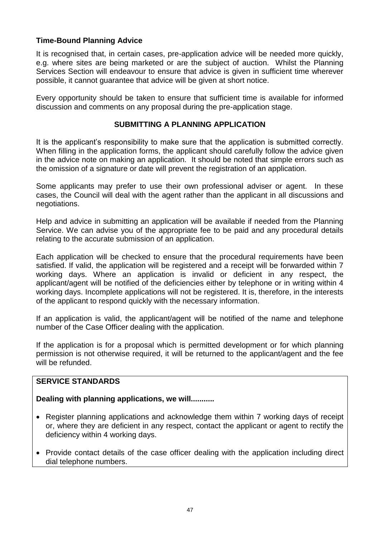## **Time-Bound Planning Advice**

It is recognised that, in certain cases, pre-application advice will be needed more quickly, e.g. where sites are being marketed or are the subject of auction. Whilst the Planning Services Section will endeavour to ensure that advice is given in sufficient time wherever possible, it cannot guarantee that advice will be given at short notice.

Every opportunity should be taken to ensure that sufficient time is available for informed discussion and comments on any proposal during the pre-application stage.

## **SUBMITTING A PLANNING APPLICATION**

It is the applicant's responsibility to make sure that the application is submitted correctly. When filling in the application forms, the applicant should carefully follow the advice given in the advice note on making an application. It should be noted that simple errors such as the omission of a signature or date will prevent the registration of an application.

Some applicants may prefer to use their own professional adviser or agent. In these cases, the Council will deal with the agent rather than the applicant in all discussions and negotiations.

Help and advice in submitting an application will be available if needed from the Planning Service. We can advise you of the appropriate fee to be paid and any procedural details relating to the accurate submission of an application.

Each application will be checked to ensure that the procedural requirements have been satisfied. If valid, the application will be registered and a receipt will be forwarded within 7 working days. Where an application is invalid or deficient in any respect, the applicant/agent will be notified of the deficiencies either by telephone or in writing within 4 working days. Incomplete applications will not be registered. It is, therefore, in the interests of the applicant to respond quickly with the necessary information.

If an application is valid, the applicant/agent will be notified of the name and telephone number of the Case Officer dealing with the application.

If the application is for a proposal which is permitted development or for which planning permission is not otherwise required, it will be returned to the applicant/agent and the fee will be refunded.

## **SERVICE STANDARDS**

## **Dealing with planning applications, we will...........**

- Register planning applications and acknowledge them within 7 working days of receipt or, where they are deficient in any respect, contact the applicant or agent to rectify the deficiency within 4 working days.
- Provide contact details of the case officer dealing with the application including direct dial telephone numbers.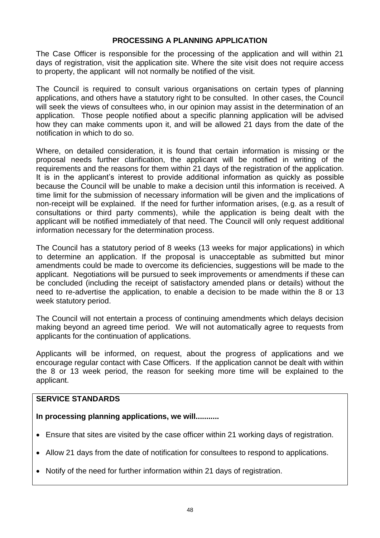## **PROCESSING A PLANNING APPLICATION**

The Case Officer is responsible for the processing of the application and will within 21 days of registration, visit the application site. Where the site visit does not require access to property, the applicant will not normally be notified of the visit.

The Council is required to consult various organisations on certain types of planning applications, and others have a statutory right to be consulted. In other cases, the Council will seek the views of consultees who, in our opinion may assist in the determination of an application. Those people notified about a specific planning application will be advised how they can make comments upon it, and will be allowed 21 days from the date of the notification in which to do so.

Where, on detailed consideration, it is found that certain information is missing or the proposal needs further clarification, the applicant will be notified in writing of the requirements and the reasons for them within 21 days of the registration of the application. It is in the applicant's interest to provide additional information as quickly as possible because the Council will be unable to make a decision until this information is received. A time limit for the submission of necessary information will be given and the implications of non-receipt will be explained. If the need for further information arises, (e.g. as a result of consultations or third party comments), while the application is being dealt with the applicant will be notified immediately of that need. The Council will only request additional information necessary for the determination process.

The Council has a statutory period of 8 weeks (13 weeks for major applications) in which to determine an application. If the proposal is unacceptable as submitted but minor amendments could be made to overcome its deficiencies, suggestions will be made to the applicant. Negotiations will be pursued to seek improvements or amendments if these can be concluded (including the receipt of satisfactory amended plans or details) without the need to re-advertise the application, to enable a decision to be made within the 8 or 13 week statutory period.

The Council will not entertain a process of continuing amendments which delays decision making beyond an agreed time period. We will not automatically agree to requests from applicants for the continuation of applications.

Applicants will be informed, on request, about the progress of applications and we encourage regular contact with Case Officers. If the application cannot be dealt with within the 8 or 13 week period, the reason for seeking more time will be explained to the applicant.

## **SERVICE STANDARDS**

**In processing planning applications, we will...........**

- Ensure that sites are visited by the case officer within 21 working days of registration.
- Allow 21 days from the date of notification for consultees to respond to applications.
- Notify of the need for further information within 21 days of registration.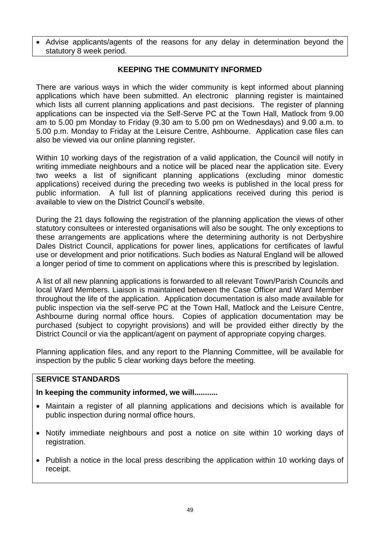Advise applicants/agents of the reasons for any delay in determination beyond the statutory 8 week period.

## **KEEPING THE COMMUNITY INFORMED**

There are various ways in which the wider community is kept informed about planning applications which have been submitted. An electronic planning register is maintained which lists all current planning applications and past decisions. The register of planning applications can be inspected via the Self-Serve PC at the Town Hall, Matlock from 9.00 am to 5.00 pm Monday to Friday (9.30 am to 5.00 pm on Wednesdays) and 9.00 a.m. to 5.00 p.m. Monday to Friday at the Leisure Centre, Ashbourne. Application case files can also be viewed via our online planning register.

Within 10 working days of the registration of a valid application, the Council will notify in writing immediate neighbours and a notice will be placed near the application site. Every two weeks a list of significant planning applications (excluding minor domestic applications) received during the preceding two weeks is published in the local press for public information. A full list of planning applications received during this period is available to view on the District Council's website.

During the 21 days following the registration of the planning application the views of other statutory consultees or interested organisations will also be sought. The only exceptions to these arrangements are applications where the determining authority is not Derbyshire Dales District Council, applications for power lines, applications for certificates of lawful use or development and prior notifications. Such bodies as Natural England will be allowed a longer period of time to comment on applications where this is prescribed by legislation.

A list of all new planning applications is forwarded to all relevant Town/Parish Councils and local Ward Members. Liaison is maintained between the Case Officer and Ward Member throughout the life of the application. Application documentation is also made available for public inspection via the self-serve PC at the Town Hall, Matlock and the Leisure Centre, Ashbourne during normal office hours. Copies of application documentation may be purchased (subject to copyright provisions) and will be provided either directly by the District Council or via the applicant/agent on payment of appropriate copying charges.

Planning application files, and any report to the Planning Committee, will be available for inspection by the public 5 clear working days before the meeting.

## **SERVICE STANDARDS**

## **In keeping the community informed, we will...........**

- Maintain a register of all planning applications and decisions which is available for public inspection during normal office hours.
- Notify immediate neighbours and post a notice on site within 10 working days of registration.
- Publish a notice in the local press describing the application within 10 working days of receipt.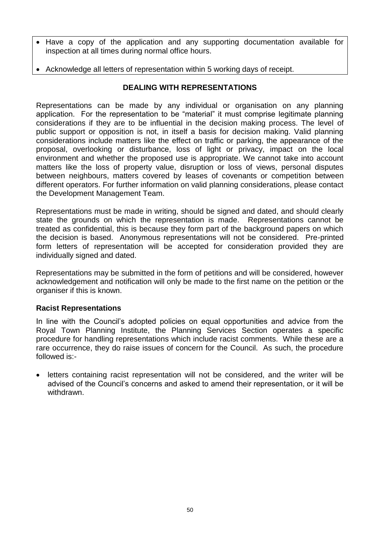- Have a copy of the application and any supporting documentation available for inspection at all times during normal office hours.
- Acknowledge all letters of representation within 5 working days of receipt.

# **DEALING WITH REPRESENTATIONS**

Representations can be made by any individual or organisation on any planning application. For the representation to be "material" it must comprise legitimate planning considerations if they are to be influential in the decision making process. The level of public support or opposition is not, in itself a basis for decision making. Valid planning considerations include matters like the effect on traffic or parking, the appearance of the proposal, overlooking or disturbance, loss of light or privacy, impact on the local environment and whether the proposed use is appropriate. We cannot take into account matters like the loss of property value, disruption or loss of views, personal disputes between neighbours, matters covered by leases of covenants or competition between different operators. For further information on valid planning considerations, please contact the Development Management Team.

Representations must be made in writing, should be signed and dated, and should clearly state the grounds on which the representation is made. Representations cannot be treated as confidential, this is because they form part of the background papers on which the decision is based. Anonymous representations will not be considered. Pre-printed form letters of representation will be accepted for consideration provided they are individually signed and dated.

Representations may be submitted in the form of petitions and will be considered, however acknowledgement and notification will only be made to the first name on the petition or the organiser if this is known.

# **Racist Representations**

In line with the Council's adopted policies on equal opportunities and advice from the Royal Town Planning Institute, the Planning Services Section operates a specific procedure for handling representations which include racist comments. While these are a rare occurrence, they do raise issues of concern for the Council. As such, the procedure followed is:-

• letters containing racist representation will not be considered, and the writer will be advised of the Council's concerns and asked to amend their representation, or it will be withdrawn.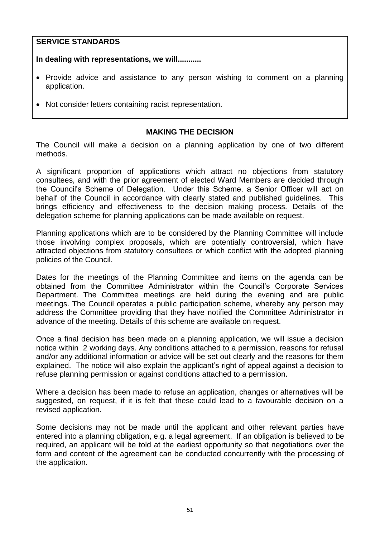## **SERVICE STANDARDS**

**In dealing with representations, we will...........**

- Provide advice and assistance to any person wishing to comment on a planning application.
- Not consider letters containing racist representation.

## **MAKING THE DECISION**

The Council will make a decision on a planning application by one of two different methods.

A significant proportion of applications which attract no objections from statutory consultees, and with the prior agreement of elected Ward Members are decided through the Council's Scheme of Delegation. Under this Scheme, a Senior Officer will act on behalf of the Council in accordance with clearly stated and published guidelines. This brings efficiency and effectiveness to the decision making process. Details of the delegation scheme for planning applications can be made available on request.

Planning applications which are to be considered by the Planning Committee will include those involving complex proposals, which are potentially controversial, which have attracted objections from statutory consultees or which conflict with the adopted planning policies of the Council.

Dates for the meetings of the Planning Committee and items on the agenda can be obtained from the Committee Administrator within the Council's Corporate Services Department. The Committee meetings are held during the evening and are public meetings. The Council operates a public participation scheme, whereby any person may address the Committee providing that they have notified the Committee Administrator in advance of the meeting. Details of this scheme are available on request.

Once a final decision has been made on a planning application, we will issue a decision notice within 2 working days. Any conditions attached to a permission, reasons for refusal and/or any additional information or advice will be set out clearly and the reasons for them explained. The notice will also explain the applicant's right of appeal against a decision to refuse planning permission or against conditions attached to a permission.

Where a decision has been made to refuse an application, changes or alternatives will be suggested, on request, if it is felt that these could lead to a favourable decision on a revised application.

Some decisions may not be made until the applicant and other relevant parties have entered into a planning obligation, e.g. a legal agreement. If an obligation is believed to be required, an applicant will be told at the earliest opportunity so that negotiations over the form and content of the agreement can be conducted concurrently with the processing of the application.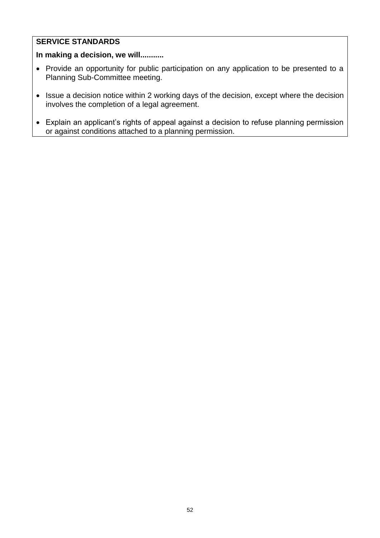# **SERVICE STANDARDS**

# **In making a decision, we will...........**

- Provide an opportunity for public participation on any application to be presented to a Planning Sub-Committee meeting.
- Issue a decision notice within 2 working days of the decision, except where the decision involves the completion of a legal agreement.
- Explain an applicant's rights of appeal against a decision to refuse planning permission or against conditions attached to a planning permission.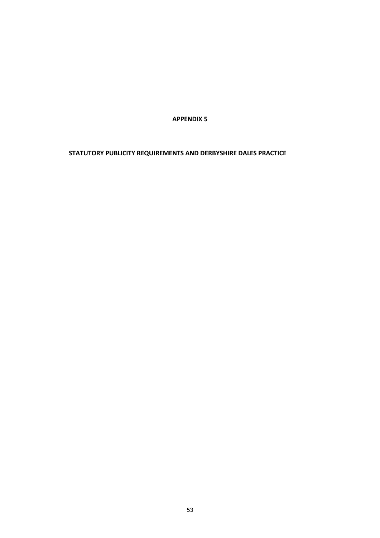**APPENDIX 5**

**STATUTORY PUBLICITY REQUIREMENTS AND DERBYSHIRE DALES PRACTICE**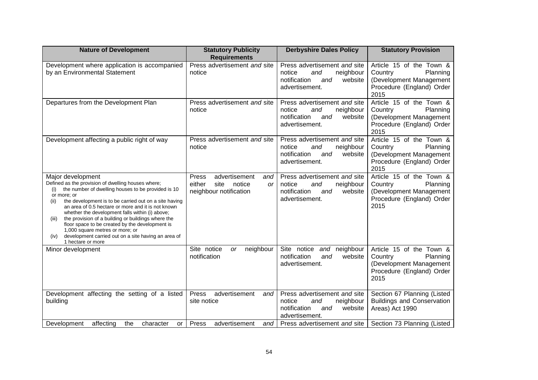| <b>Nature of Development</b>                                                                                                                                                                                                                                                                                                                                                                                                                                                                                                                                            | <b>Statutory Publicity</b>                                                                       | <b>Derbyshire Dales Policy</b>                                                                                 | <b>Statutory Provision</b>                                                                                      |
|-------------------------------------------------------------------------------------------------------------------------------------------------------------------------------------------------------------------------------------------------------------------------------------------------------------------------------------------------------------------------------------------------------------------------------------------------------------------------------------------------------------------------------------------------------------------------|--------------------------------------------------------------------------------------------------|----------------------------------------------------------------------------------------------------------------|-----------------------------------------------------------------------------------------------------------------|
| Development where application is accompanied<br>by an Environmental Statement                                                                                                                                                                                                                                                                                                                                                                                                                                                                                           | <b>Requirements</b><br>Press advertisement and site<br>notice                                    | Press advertisement and site<br>neighbour<br>notice<br>and<br>notification<br>website<br>and<br>advertisement. | Article 15 of the Town &<br>Planning<br>Country<br>(Development Management<br>Procedure (England) Order<br>2015 |
| Departures from the Development Plan                                                                                                                                                                                                                                                                                                                                                                                                                                                                                                                                    | Press advertisement and site<br>notice                                                           | Press advertisement and site<br>notice<br>and<br>neighbour<br>notification<br>website<br>and<br>advertisement. | Article 15 of the Town &<br>Country<br>Planning<br>(Development Management<br>Procedure (England) Order<br>2015 |
| Development affecting a public right of way                                                                                                                                                                                                                                                                                                                                                                                                                                                                                                                             | Press advertisement and site<br>notice                                                           | Press advertisement and site<br>notice<br>neighbour<br>and<br>website<br>notification<br>and<br>advertisement. | Article 15 of the Town &<br>Country<br>Planning<br>(Development Management<br>Procedure (England) Order<br>2015 |
| Major development<br>Defined as the provision of dwelling houses where;<br>the number of dwelling houses to be provided is 10<br>(i)<br>or more; or<br>the development is to be carried out on a site having<br>(iii)<br>an area of 0.5 hectare or more and it is not known<br>whether the development falls within (i) above;<br>the provision of a building or buildings where the<br>(iii)<br>floor space to be created by the development is<br>1,000 square metres or more; or<br>development carried out on a site having an area of<br>(iv)<br>1 hectare or more | advertisement<br>Press<br>and<br>either<br>site<br>notice<br><b>or</b><br>neighbour notification | Press advertisement and site<br>notice<br>neighbour<br>and<br>notification<br>website<br>and<br>advertisement. | Article 15 of the Town &<br>Country<br>Planning<br>(Development Management<br>Procedure (England) Order<br>2015 |
| Minor development                                                                                                                                                                                                                                                                                                                                                                                                                                                                                                                                                       | Site notice<br>neighbour<br>or<br>notification                                                   | Site notice<br>and neighbour<br>notification<br>website<br>and<br>advertisement.                               | Article 15 of the Town &<br>Country<br>Planning<br>(Development Management<br>Procedure (England) Order<br>2015 |
| Development affecting the setting of a listed<br>building                                                                                                                                                                                                                                                                                                                                                                                                                                                                                                               | Press<br>advertisement<br>and<br>site notice                                                     | Press advertisement and site<br>notice<br>neighbour<br>and<br>notification<br>website<br>and<br>advertisement. | Section 67 Planning (Listed<br><b>Buildings and Conservation</b><br>Areas) Act 1990                             |
| Development<br>affecting<br>the<br>character<br>or                                                                                                                                                                                                                                                                                                                                                                                                                                                                                                                      | Press<br>advertisement<br>and                                                                    | Press advertisement and site                                                                                   | Section 73 Planning (Listed                                                                                     |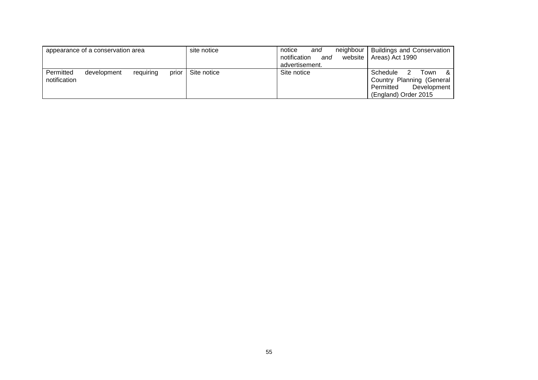|                           | appearance of a conservation area |           |       | site notice | neighbour<br>notice<br>and<br>and<br>notification<br>website<br>advertisement. | <b>Buildings and Conservation</b><br>Areas) Act 1990                                                          |
|---------------------------|-----------------------------------|-----------|-------|-------------|--------------------------------------------------------------------------------|---------------------------------------------------------------------------------------------------------------|
| Permitted<br>notification | development                       | requiring | prior | Site notice | Site notice                                                                    | Schedule<br>- &<br>Town<br>2<br>Country Planning (General<br>Development<br>Permitted<br>(England) Order 2015 |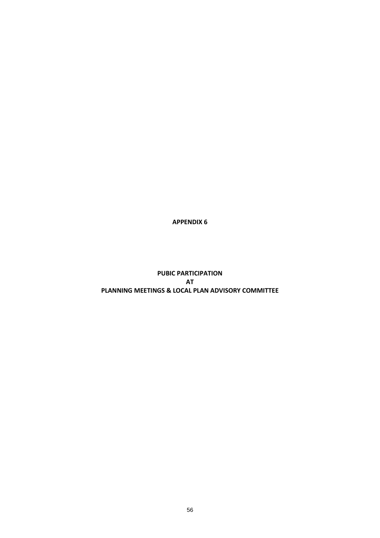**APPENDIX 6**

**PUBIC PARTICIPATION AT PLANNING MEETINGS & LOCAL PLAN ADVISORY COMMITTEE**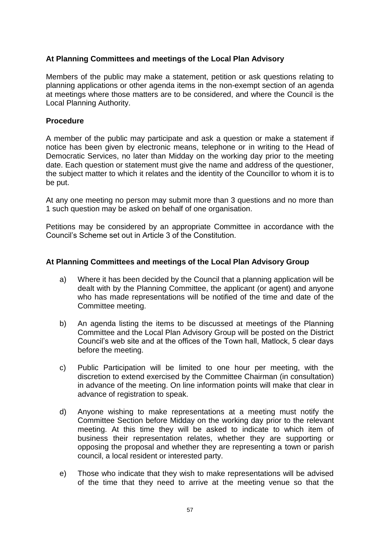## **At Planning Committees and meetings of the Local Plan Advisory**

Members of the public may make a statement, petition or ask questions relating to planning applications or other agenda items in the non-exempt section of an agenda at meetings where those matters are to be considered, and where the Council is the Local Planning Authority.

## **Procedure**

A member of the public may participate and ask a question or make a statement if notice has been given by electronic means, telephone or in writing to the Head of Democratic Services, no later than Midday on the working day prior to the meeting date. Each question or statement must give the name and address of the questioner, the subject matter to which it relates and the identity of the Councillor to whom it is to be put.

At any one meeting no person may submit more than 3 questions and no more than 1 such question may be asked on behalf of one organisation.

Petitions may be considered by an appropriate Committee in accordance with the Council's Scheme set out in Article 3 of the Constitution.

## **At Planning Committees and meetings of the Local Plan Advisory Group**

- a) Where it has been decided by the Council that a planning application will be dealt with by the Planning Committee, the applicant (or agent) and anyone who has made representations will be notified of the time and date of the Committee meeting.
- b) An agenda listing the items to be discussed at meetings of the Planning Committee and the Local Plan Advisory Group will be posted on the District Council's web site and at the offices of the Town hall, Matlock, 5 clear days before the meeting.
- c) Public Participation will be limited to one hour per meeting, with the discretion to extend exercised by the Committee Chairman (in consultation) in advance of the meeting. On line information points will make that clear in advance of registration to speak.
- d) Anyone wishing to make representations at a meeting must notify the Committee Section before Midday on the working day prior to the relevant meeting. At this time they will be asked to indicate to which item of business their representation relates, whether they are supporting or opposing the proposal and whether they are representing a town or parish council, a local resident or interested party.
- e) Those who indicate that they wish to make representations will be advised of the time that they need to arrive at the meeting venue so that the